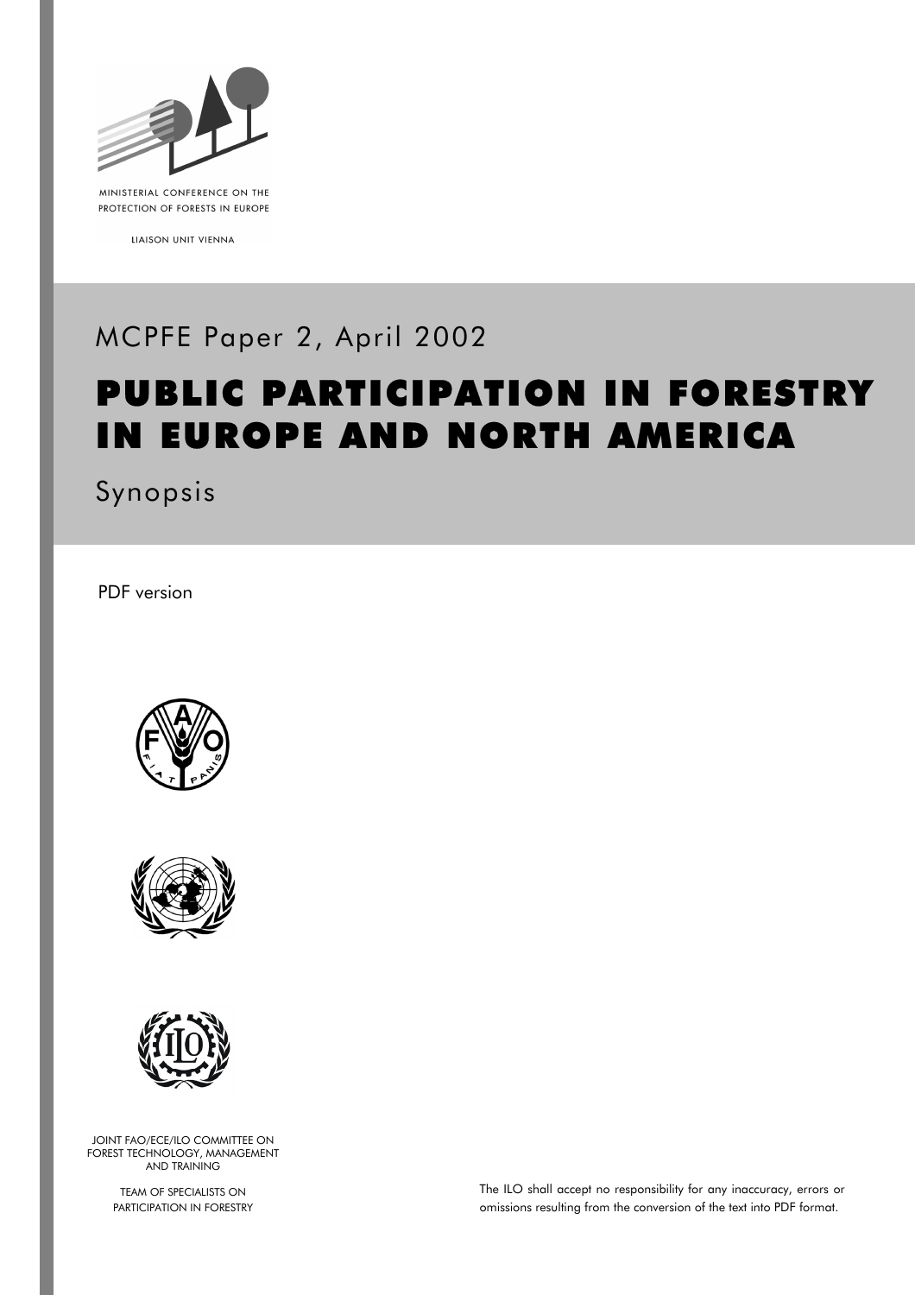

MINISTERIAL CONFERENCE ON THE PROTECTION OF FORESTS IN EUROPE

LIAISON UNIT VIENNA

# MCPFE Paper 2, April 2002

# PUBLIC PARTICIPATION IN FORESTRY IN EUROPE AND NORTH AMERICA

Synopsis

PDF version







JOINT FAO/ECE/ILO COMMITTEE ON FOREST TECHNOLOGY, MANAGEMENT AND TRAINING

> TEAM OF SPECIALISTS ON PARTICIPATION IN FORESTRY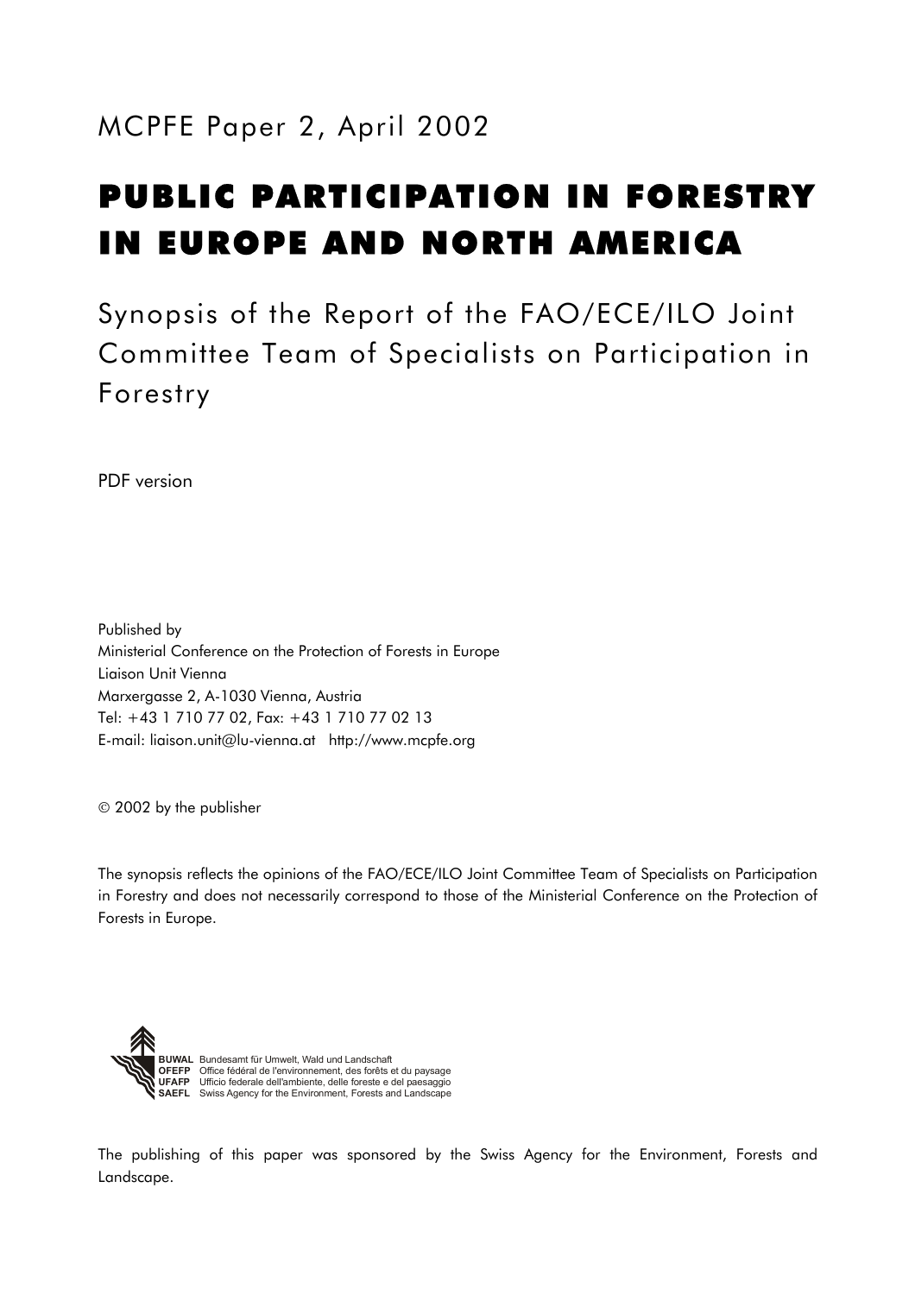# PUBLIC PARTICIPATION IN FORESTRY IN EUROPE AND NORTH AMERICA

Synopsis of the Report of the FAO/ECE/ILO Joint Committee Team of Specialists on Participation in Forestry

PDF version

Published by Ministerial Conference on the Protection of Forests in Europe Liaison Unit Vienna Marxergasse 2, A-1030 Vienna, Austria Tel: +43 1 710 77 02, Fax: +43 1 710 77 02 13 E-mail: liaison.unit@lu-vienna.at http://www.mcpfe.org

2002 by the publisher

The synopsis reflects the opinions of the FAO/ECE/ILO Joint Committee Team of Specialists on Participation in Forestry and does not necessarily correspond to those of the Ministerial Conference on the Protection of Forests in Europe.



Bundesamt für Umwelt, Wald und Landschaft<br>Office fédéral de l'environnement, des forêts et du paysage<br>Ufficio federale dell'ambiente, delle foreste e del paesaggio<br>Swiss Agency for the Environment, Forests and Landscape

The publishing of this paper was sponsored by the Swiss Agency for the Environment, Forests and Landscape.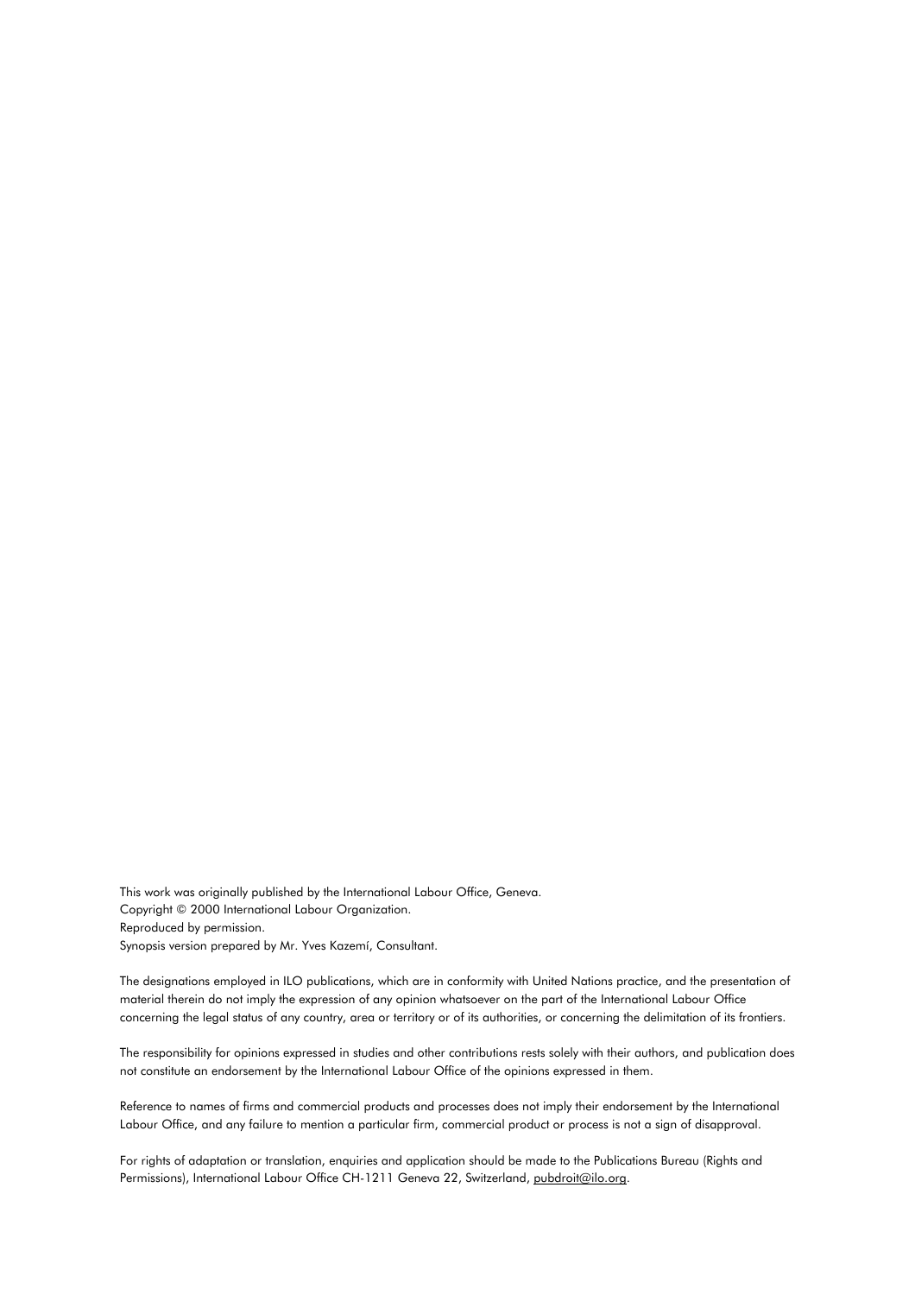Thi[s work was originally published by the International Labour Office, Geneva.](#page-17-0)  Co[pyright © 2000 International Labour Organization.](#page-17-1)  Rep[roduced by permission.](#page-17-2)  Synopsis version prepared by Mr. Yves Kazemí, Consultant.

The [designations employed in ILO publications, which are in conformity with United Nations practice, and the presentation of](#page-18-0) ma[terial therein do not imply the expression of any opinion whatsoever on the part of the International Labour Office](#page-18-1) con[cerning the legal status of any country, area or territory or of its authorities, or concerning the delimitation of its frontiers.](#page-18-2)

The responsibility for opinions expressed in studies and other contributions rests solely with their authors, and publication does [not constitute an endorsement by the International Labour Office of the opinions expressed in them.](#page-19-0)

Reference to names of firms and commercial products and processes does not imply their endorsement by the International [Labour Office, and any failure to mention a particular firm, commercial product or process is not a sign of disapproval.](#page-20-0)

For rights of adaptation or translation, enquiries and application should be made to the Publications Bureau (Rights and [Permissions\), International Labour Office CH-1211 Geneva 22, Switzerland, pubdroit@ilo.org.](#page-21-0)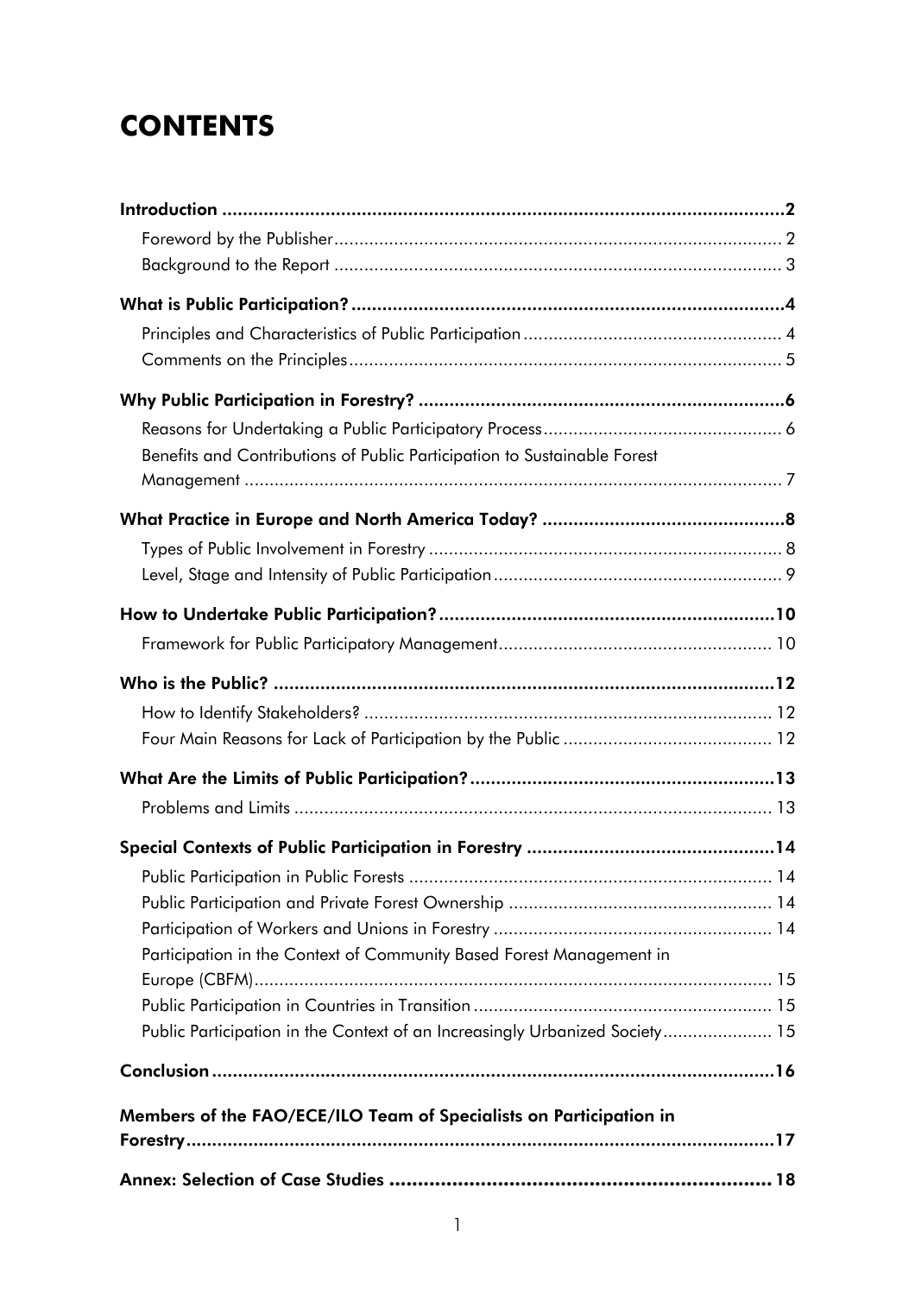# **CONTENTS**

<span id="page-6-0"></span>

| Benefits and Contributions of Public Participation to Sustainable Forest    |  |
|-----------------------------------------------------------------------------|--|
|                                                                             |  |
|                                                                             |  |
|                                                                             |  |
|                                                                             |  |
|                                                                             |  |
|                                                                             |  |
|                                                                             |  |
|                                                                             |  |
|                                                                             |  |
|                                                                             |  |
|                                                                             |  |
|                                                                             |  |
|                                                                             |  |
|                                                                             |  |
|                                                                             |  |
|                                                                             |  |
| Participation in the Context of Community Based Forest Management in        |  |
|                                                                             |  |
|                                                                             |  |
| Public Participation in the Context of an Increasingly Urbanized Society 15 |  |
|                                                                             |  |
|                                                                             |  |
| Members of the FAO/ECE/ILO Team of Specialists on Participation in          |  |
|                                                                             |  |
|                                                                             |  |
|                                                                             |  |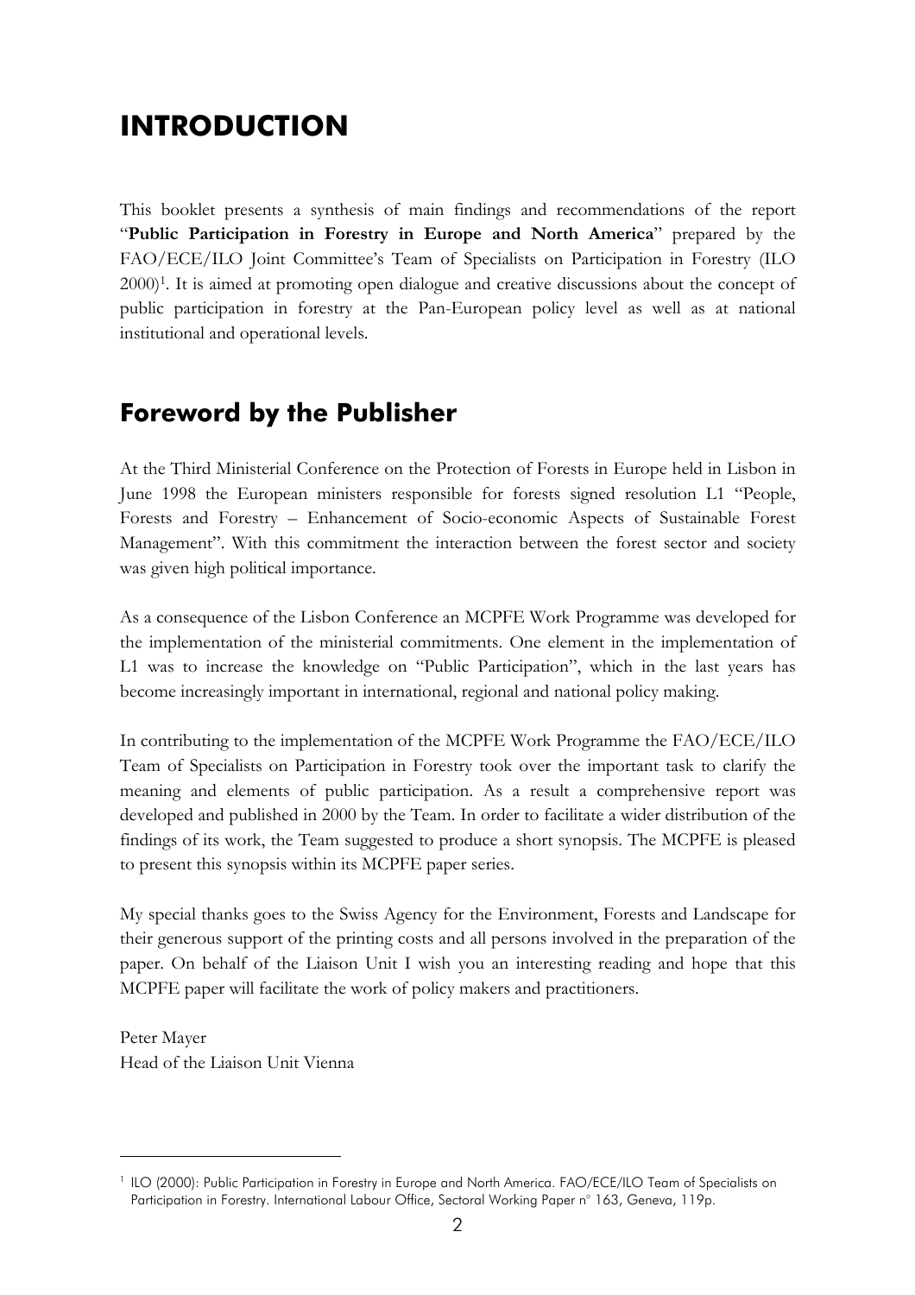# **INTRODUCTION**

This booklet presents a synthesis of main findings and recommendations of the report ì**Public Participation in Forestry in Europe and North America**î prepared by the FAO/ECE/ILO Joint Committee's Team of Specialists on Participation in Forestry (ILO 2000)1. It is aimed at promoting open dialogue and creative discussions about the concept of public participation in forestry at the Pan-European policy level as well as at national institutional and operational levels.

### **Foreword by the Publisher**

At the Third Ministerial Conference on the Protection of Forests in Europe held in Lisbon in June 1998 the European ministers responsible for forests signed resolution L1 "People, Forests and Forestry – Enhancement of Socio-economic Aspects of Sustainable Forest Management". With this commitment the interaction between the forest sector and society was given high political importance.

As a consequence of the Lisbon Conference an MCPFE Work Programme was developed for the implementation of the ministerial commitments. One element in the implementation of L1 was to increase the knowledge on "Public Participation", which in the last years has become increasingly important in international, regional and national policy making.

In contributing to the implementation of the MCPFE Work Programme the FAO/ECE/ILO Team of Specialists on Participation in Forestry took over the important task to clarify the meaning and elements of public participation. As a result a comprehensive report was developed and published in 2000 by the Team. In order to facilitate a wider distribution of the findings of its work, the Team suggested to produce a short synopsis. The MCPFE is pleased to present this synopsis within its MCPFE paper series.

My special thanks goes to the Swiss Agency for the Environment, Forests and Landscape for their generous support of the printing costs and all persons involved in the preparation of the paper. On behalf of the Liaison Unit I wish you an interesting reading and hope that this MCPFE paper will facilitate the work of policy makers and practitioners.

Peter Mayer Head of the Liaison Unit Vienna

 $\overline{a}$ 

<sup>&</sup>lt;sup>1</sup> ILO (2000): Public Participation in Forestry in Europe and North America. FAO/ECE/ILO Team of Specialists on Participation in Forestry. International Labour Office, Sectoral Working Paper n° 163, Geneva, 119p.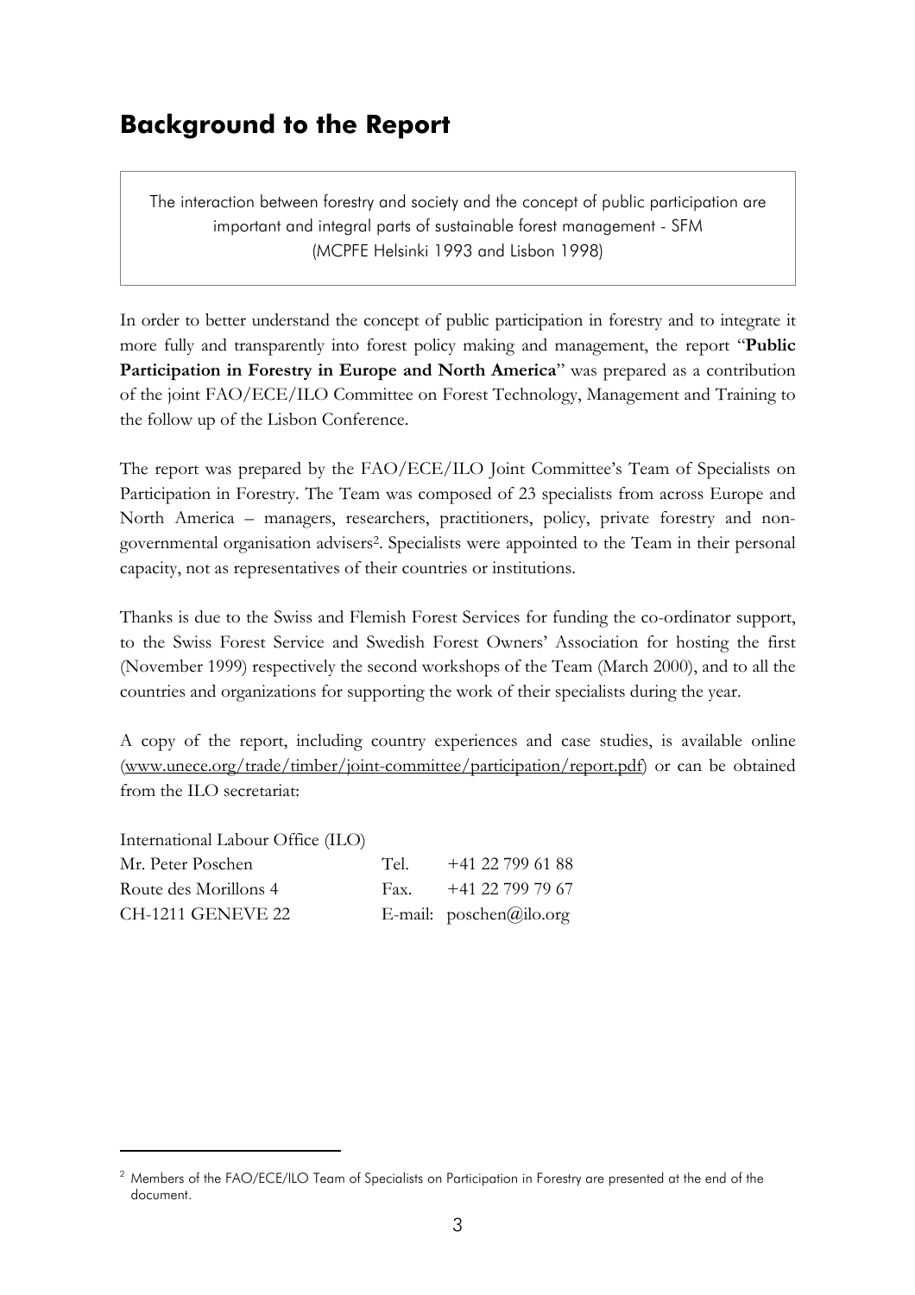### **Background to the Report**

The interaction between forestry and society and the concept of public participation are important and integral parts of sustainable forest management - SFM (MCPFE Helsinki 1993 and Lisbon 1998)

In order to better understand the concept of public participation in forestry and to integrate it more fully and transparently into forest policy making and management, the report "Public **Participation in Forestry in Europe and North America**<sup>n</sup> was prepared as a contribution of the joint FAO/ECE/ILO Committee on Forest Technology, Management and Training to the follow up of the Lisbon Conference.

The report was prepared by the FAO/ECE/ILO Joint Committee's Team of Specialists on Participation in Forestry. The Team was composed of 23 specialists from across Europe and North America – managers, researchers, practitioners, policy, private forestry and nongovernmental organisation advisers2. Specialists were appointed to the Team in their personal capacity, not as representatives of their countries or institutions.

Thanks is due to the Swiss and Flemish Forest Services for funding the co-ordinator support, to the Swiss Forest Service and Swedish Forest Owners' Association for hosting the first (November 1999) respectively the second workshops of the Team (March 2000), and to all the countries and organizations for supporting the work of their specialists during the year.

A copy of the report, including country experiences and case studies, is available online (www.unece.org/trade/timber/joint-committee/participation/report.pdf) or can be obtained from the ILO secretariat:

| International Labour Office (ILO) |      |                           |
|-----------------------------------|------|---------------------------|
| Mr. Peter Poschen                 | Tel  | $+41$ 22 799 61 88        |
| Route des Morillons 4             | Fax. | +41 22 799 79 67          |
| <b>CH-1211 GENEVE 22</b>          |      | E-mail: $poschen@ilo.org$ |

 $\overline{a}$ 

<sup>&</sup>lt;sup>2</sup> Members of the FAO/ECE/ILO Team of Specialists on Participation in Forestry are presented at the end of the document.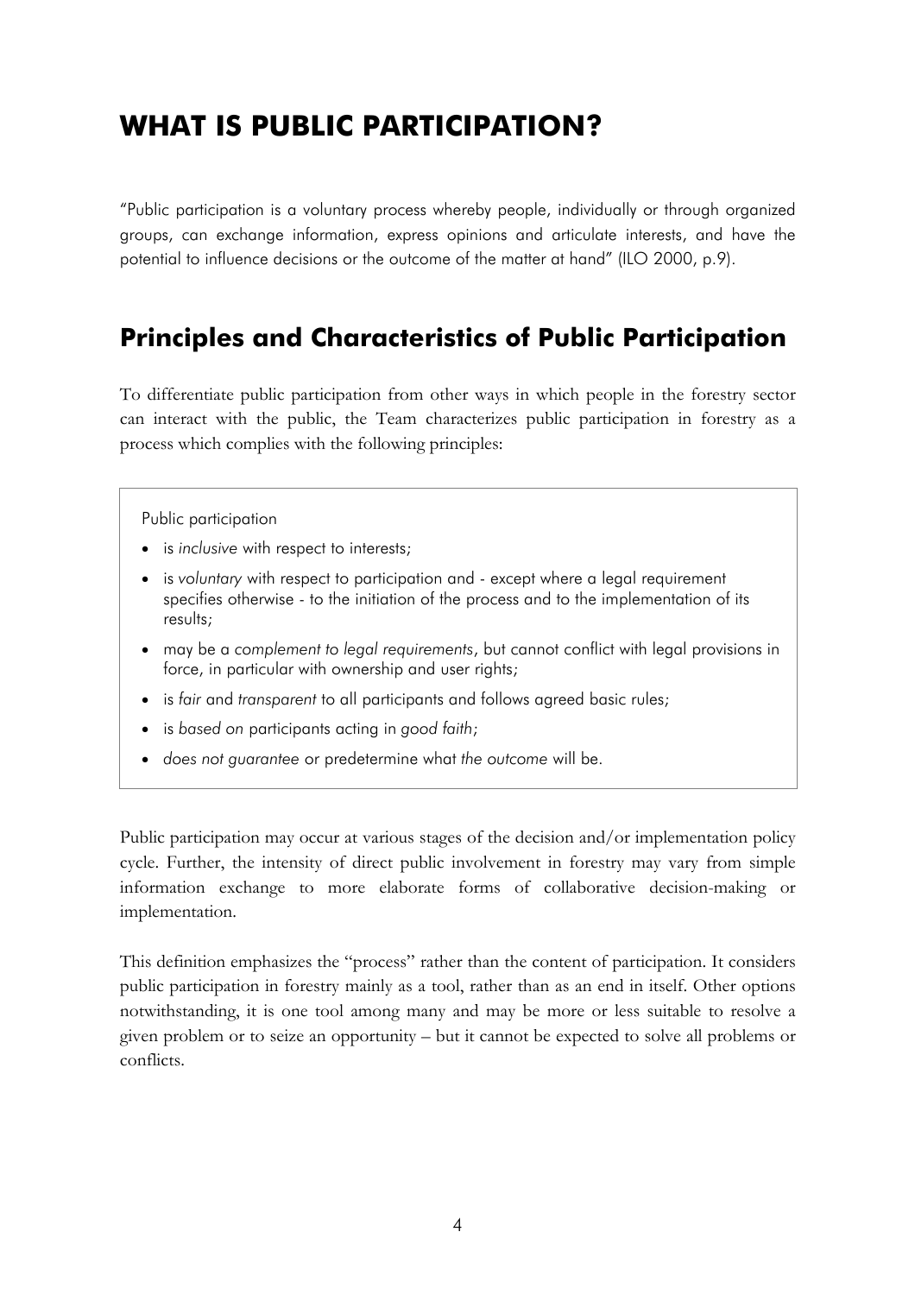# **WHAT IS PUBLIC PARTICIPATION?**

ìPublic participation is a voluntary process whereby people, individually or through organized groups, can exchange information, express opinions and articulate interests, and have the potential to influence decisions or the outcome of the matter at hand" (ILO 2000, p.9).

### **Principles and Characteristics of Public Participation**

To differentiate public participation from other ways in which people in the forestry sector can interact with the public, the Team characterizes public participation in forestry as a process which complies with the following principles:

#### Public participation

- is *inclusive* with respect to interests;
- is *voluntary* with respect to participation and except where a legal requirement specifies otherwise - to the initiation of the process and to the implementation of its results;
- may be a *complement to legal requirements*, but cannot conflict with legal provisions in force, in particular with ownership and user rights;
- is *fair* and *transparent* to all participants and follows agreed basic rules;
- is *based on* participants acting in *good faith*;
- *does not guarantee* or predetermine what *the outcome* will be.

Public participation may occur at various stages of the decision and/or implementation policy cycle. Further, the intensity of direct public involvement in forestry may vary from simple information exchange to more elaborate forms of collaborative decision-making or implementation.

This definition emphasizes the "process" rather than the content of participation. It considers public participation in forestry mainly as a tool, rather than as an end in itself. Other options notwithstanding, it is one tool among many and may be more or less suitable to resolve a given problem or to seize an opportunity – but it cannot be expected to solve all problems or conflicts.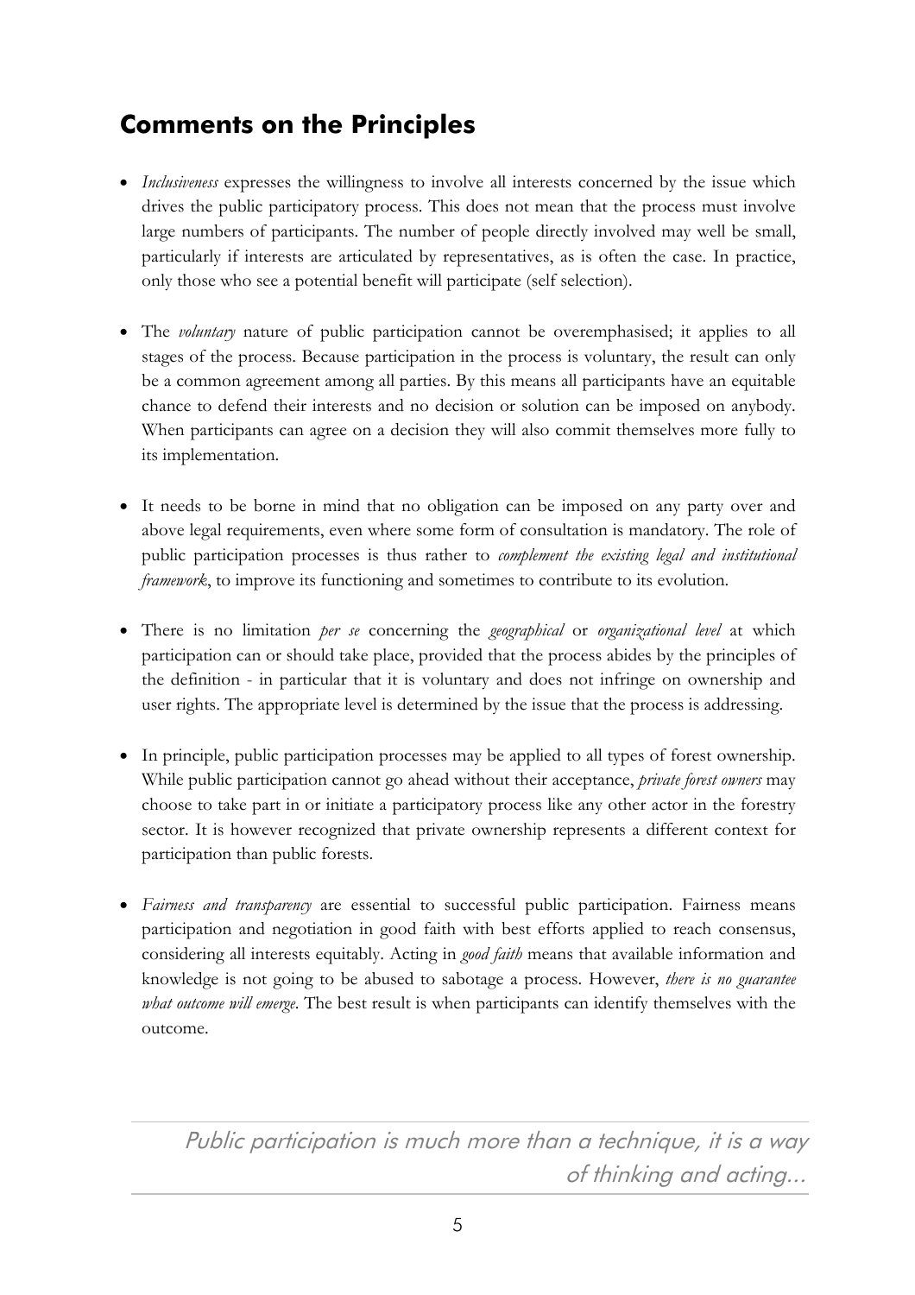# **Comments on the Principles**

- *Inclusiveness* expresses the willingness to involve all interests concerned by the issue which drives the public participatory process. This does not mean that the process must involve large numbers of participants. The number of people directly involved may well be small, particularly if interests are articulated by representatives, as is often the case. In practice, only those who see a potential benefit will participate (self selection).
- The *voluntary* nature of public participation cannot be overemphasised; it applies to all stages of the process. Because participation in the process is voluntary, the result can only be a common agreement among all parties. By this means all participants have an equitable chance to defend their interests and no decision or solution can be imposed on anybody. When participants can agree on a decision they will also commit themselves more fully to its implementation.
- It needs to be borne in mind that no obligation can be imposed on any party over and above legal requirements, even where some form of consultation is mandatory. The role of public participation processes is thus rather to *complement the existing legal and institutional framework*, to improve its functioning and sometimes to contribute to its evolution.
- There is no limitation *per se* concerning the *geographical* or *organizational level* at which participation can or should take place, provided that the process abides by the principles of the definition - in particular that it is voluntary and does not infringe on ownership and user rights. The appropriate level is determined by the issue that the process is addressing.
- In principle, public participation processes may be applied to all types of forest ownership. While public participation cannot go ahead without their acceptance, *private forest owners* may choose to take part in or initiate a participatory process like any other actor in the forestry sector. It is however recognized that private ownership represents a different context for participation than public forests.
- *Fairness and transparency* are essential to successful public participation. Fairness means participation and negotiation in good faith with best efforts applied to reach consensus, considering all interests equitably. Acting in *good faith* means that available information and knowledge is not going to be abused to sabotage a process. However, *there is no guarantee what outcome will emerge*. The best result is when participants can identify themselves with the outcome.

Public participation is much more than a technique, it is a way of thinking and acting...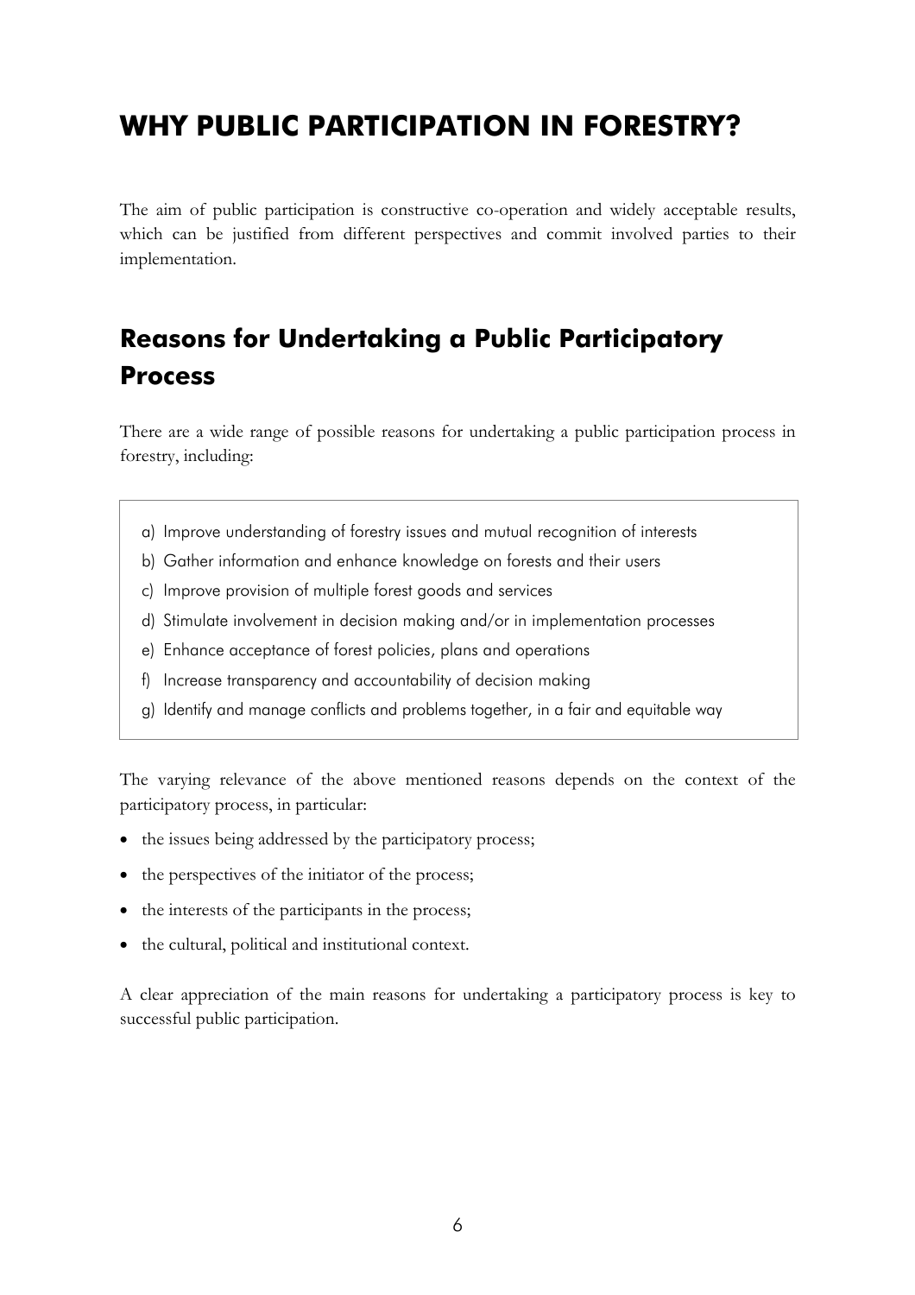# **WHY PUBLIC PARTICIPATION IN FORESTRY?**

The aim of public participation is constructive co-operation and widely acceptable results, which can be justified from different perspectives and commit involved parties to their implementation.

# **Reasons for Undertaking a Public Participatory Process**

There are a wide range of possible reasons for undertaking a public participation process in forestry, including:

- a) Improve understanding of forestry issues and mutual recognition of interests
- b) Gather information and enhance knowledge on forests and their users
- c) Improve provision of multiple forest goods and services
- d) Stimulate involvement in decision making and/or in implementation processes
- e) Enhance acceptance of forest policies, plans and operations
- f) Increase transparency and accountability of decision making
- g) Identify and manage conflicts and problems together, in a fair and equitable way

The varying relevance of the above mentioned reasons depends on the context of the participatory process, in particular:

- the issues being addressed by the participatory process;
- $\bullet$  the perspectives of the initiator of the process;
- the interests of the participants in the process;
- the cultural, political and institutional context.

A clear appreciation of the main reasons for undertaking a participatory process is key to successful public participation.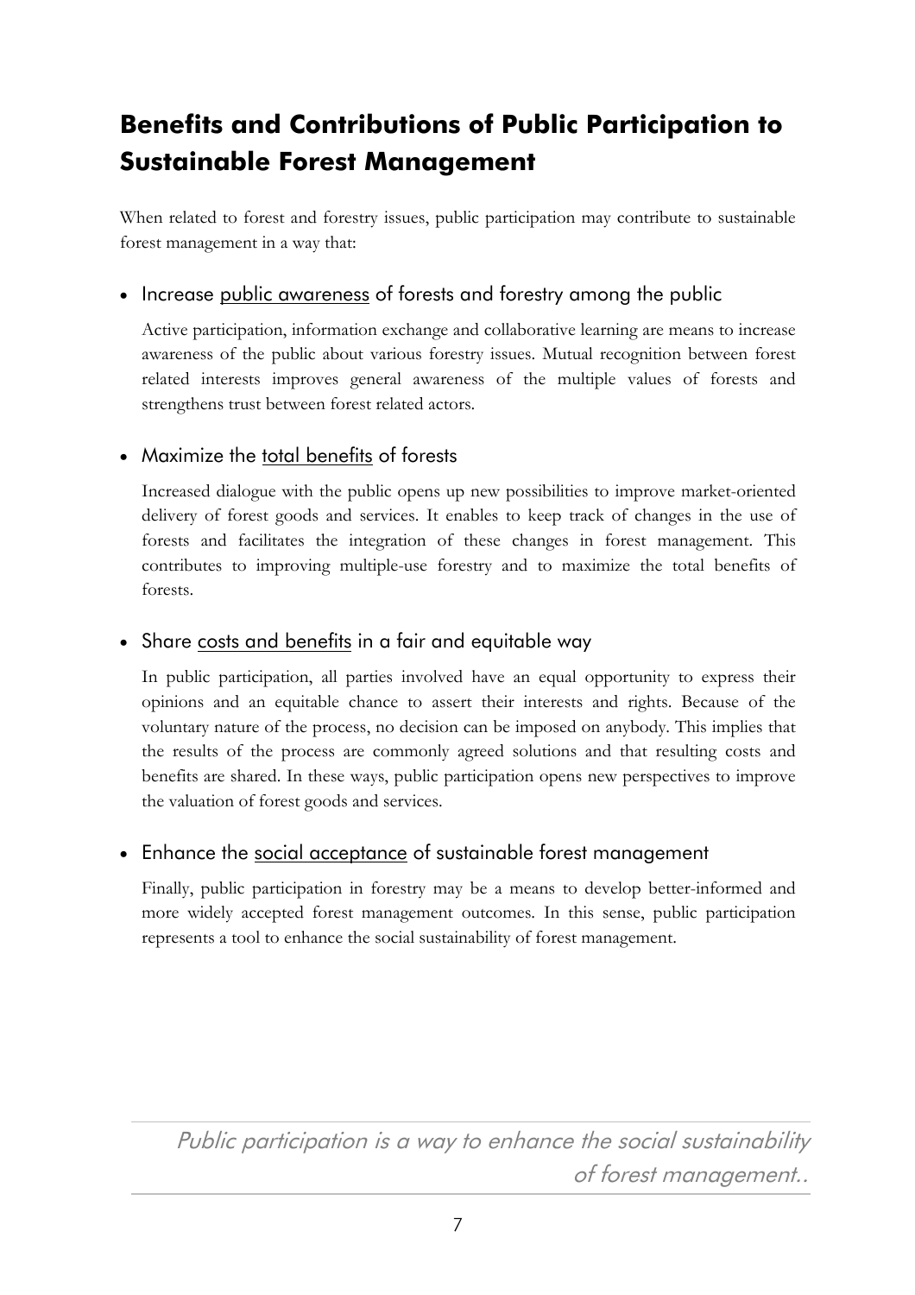# **Benefits and Contributions of Public Participation to Sustainable Forest Management**

When related to forest and forestry issues, public participation may contribute to sustainable forest management in a way that:

### • Increase public awareness of forests and forestry among the public

Active participation, information exchange and collaborative learning are means to increase awareness of the public about various forestry issues. Mutual recognition between forest related interests improves general awareness of the multiple values of forests and strengthens trust between forest related actors.

### Maximize the total benefits of forests

Increased dialogue with the public opens up new possibilities to improve market-oriented delivery of forest goods and services. It enables to keep track of changes in the use of forests and facilitates the integration of these changes in forest management. This contributes to improving multiple-use forestry and to maximize the total benefits of forests.

### Share costs and benefits in a fair and equitable way

In public participation, all parties involved have an equal opportunity to express their opinions and an equitable chance to assert their interests and rights. Because of the voluntary nature of the process, no decision can be imposed on anybody. This implies that the results of the process are commonly agreed solutions and that resulting costs and benefits are shared. In these ways, public participation opens new perspectives to improve the valuation of forest goods and services.

### Enhance the social acceptance of sustainable forest management

Finally, public participation in forestry may be a means to develop better-informed and more widely accepted forest management outcomes. In this sense, public participation represents a tool to enhance the social sustainability of forest management.

Public participation is a way to enhance the social sustainability of forest management..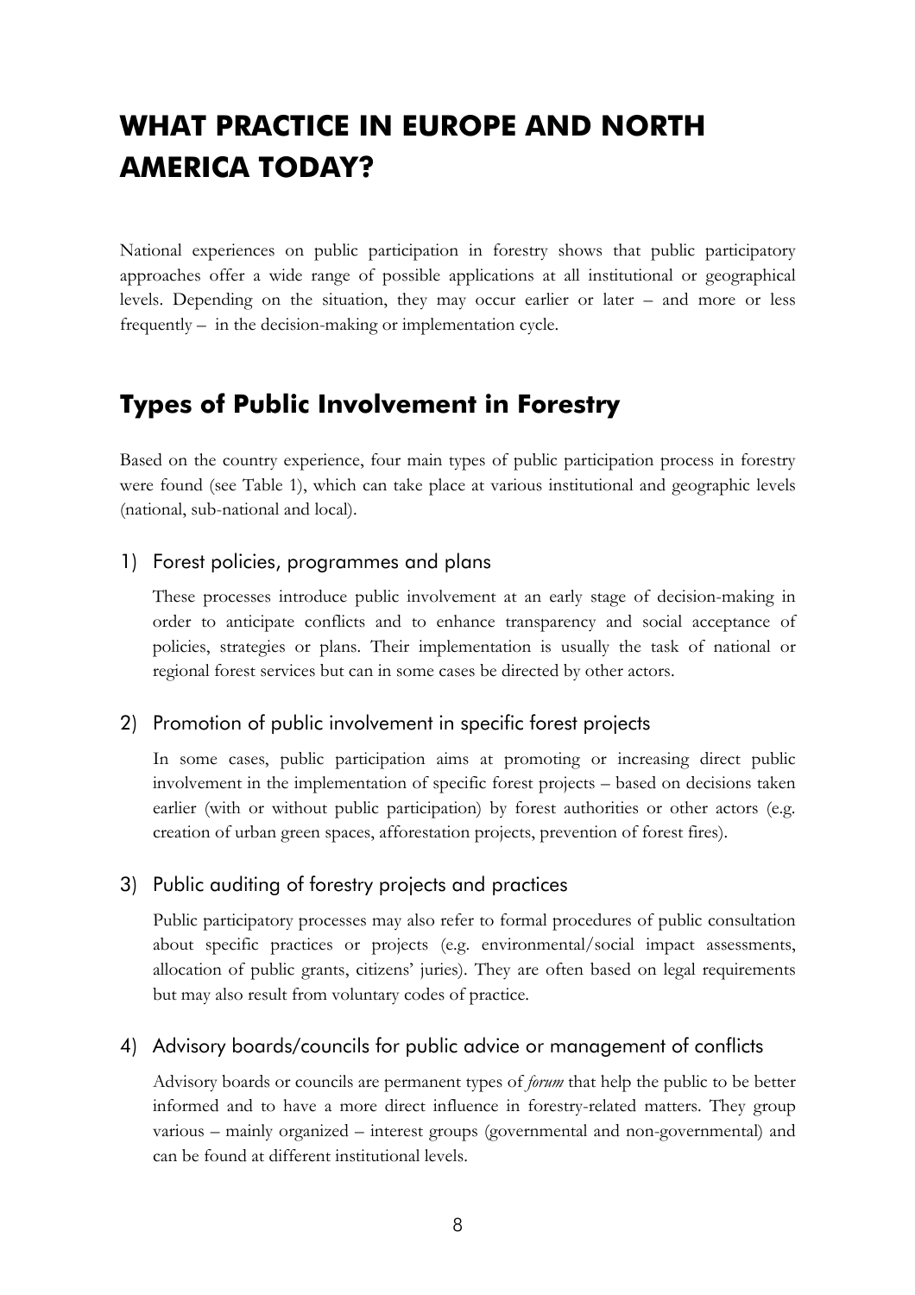# **WHAT PRACTICE IN EUROPE AND NORTH AMERICA TODAY?**

National experiences on public participation in forestry shows that public participatory approaches offer a wide range of possible applications at all institutional or geographical levels. Depending on the situation, they may occur earlier or later  $-$  and more or less frequently  $-$  in the decision-making or implementation cycle.

### **Types of Public Involvement in Forestry**

Based on the country experience, four main types of public participation process in forestry were found (see Table 1), which can take place at various institutional and geographic levels (national, sub-national and local).

#### 1) Forest policies, programmes and plans

These processes introduce public involvement at an early stage of decision-making in order to anticipate conflicts and to enhance transparency and social acceptance of policies, strategies or plans. Their implementation is usually the task of national or regional forest services but can in some cases be directed by other actors.

#### 2) Promotion of public involvement in specific forest projects

In some cases, public participation aims at promoting or increasing direct public involvement in the implementation of specific forest projects – based on decisions taken earlier (with or without public participation) by forest authorities or other actors (e.g. creation of urban green spaces, afforestation projects, prevention of forest fires).

#### 3) Public auditing of forestry projects and practices

Public participatory processes may also refer to formal procedures of public consultation about specific practices or projects (e.g. environmental/social impact assessments, allocation of public grants, citizens' juries). They are often based on legal requirements but may also result from voluntary codes of practice.

#### 4) Advisory boards/councils for public advice or management of conflicts

Advisory boards or councils are permanent types of *forum* that help the public to be better informed and to have a more direct influence in forestry-related matters. They group various – mainly organized – interest groups (governmental and non-governmental) and can be found at different institutional levels.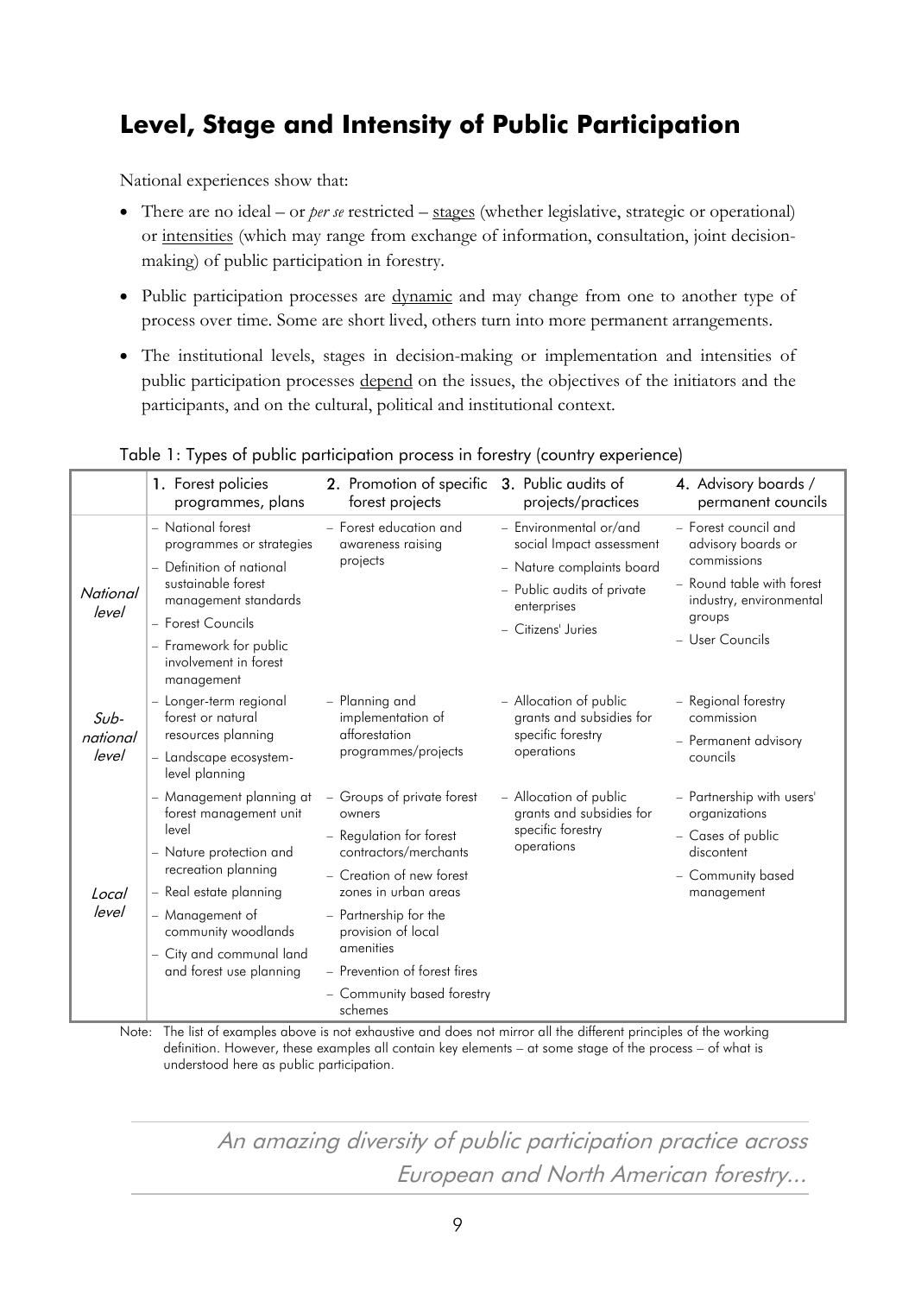# **Level, Stage and Intensity of Public Participation**

National experiences show that:

- There are no ideal  $-$  or *per se* restricted  $-$  stages (whether legislative, strategic or operational) or intensities (which may range from exchange of information, consultation, joint decisionmaking) of public participation in forestry.
- Public participation processes are <u>dynamic</u> and may change from one to another type of process over time. Some are short lived, others turn into more permanent arrangements.
- The institutional levels, stages in decision-making or implementation and intensities of public participation processes depend on the issues, the objectives of the initiators and the participants, and on the cultural, political and institutional context.

|                             | 1. Forest policies<br>programmes, plans                                                                    | 2. Promotion of specific<br>forest projects                                              | 3. Public audits of<br>projects/practices                                             | 4. Advisory boards /<br>permanent councils                          |
|-----------------------------|------------------------------------------------------------------------------------------------------------|------------------------------------------------------------------------------------------|---------------------------------------------------------------------------------------|---------------------------------------------------------------------|
|                             | - National forest<br>programmes or strategies                                                              | - Forest education and<br>awareness raising<br>projects                                  | - Environmental or/and<br>social Impact assessment                                    | - Forest council and<br>advisory boards or                          |
| National                    | - Definition of national<br>sustainable forest<br>management standards                                     |                                                                                          | - Nature complaints board<br>- Public audits of private                               | commissions<br>- Round table with forest<br>industry, environmental |
| level                       | - Forest Councils                                                                                          |                                                                                          | enterprises<br>- Citizens' Juries                                                     | groups                                                              |
|                             | - Framework for public<br>involvement in forest<br>management                                              |                                                                                          |                                                                                       | - User Councils                                                     |
| $Sub-$<br>national<br>level | - Longer-term regional<br>forest or natural                                                                | - Planning and<br>implementation of<br>afforestation<br>programmes/projects              | - Allocation of public<br>grants and subsidies for<br>specific forestry<br>operations | - Regional forestry<br>commission                                   |
|                             | resources planning<br>- Landscape ecosystem-<br>level planning                                             |                                                                                          |                                                                                       | - Permanent advisory<br>councils                                    |
|                             | - Management planning at<br>forest management unit                                                         | - Groups of private forest<br>owners<br>- Regulation for forest<br>contractors/merchants | - Allocation of public<br>grants and subsidies for<br>specific forestry<br>operations | - Partnership with users'<br>organizations                          |
| Local                       | level<br>- Nature protection and                                                                           |                                                                                          |                                                                                       | - Cases of public<br>discontent                                     |
|                             | recreation planning<br>- Real estate planning                                                              | - Creation of new forest<br>zones in urban areas                                         |                                                                                       | - Community based<br>management                                     |
| level                       | - Management of<br>community woodlands<br>amenities<br>- City and communal land<br>and forest use planning | - Partnership for the<br>provision of local                                              |                                                                                       |                                                                     |
|                             |                                                                                                            | - Prevention of forest fires                                                             |                                                                                       |                                                                     |
|                             |                                                                                                            | - Community based forestry<br>schemes                                                    |                                                                                       |                                                                     |

Table 1: Types of public participation process in forestry (country experience)

Note: The list of examples above is not exhaustive and does not mirror all the different principles of the working definition. However, these examples all contain key elements – at some stage of the process – of what is understood here as public participation.

> An amazing diversity of public participation practice across European and North American forestry...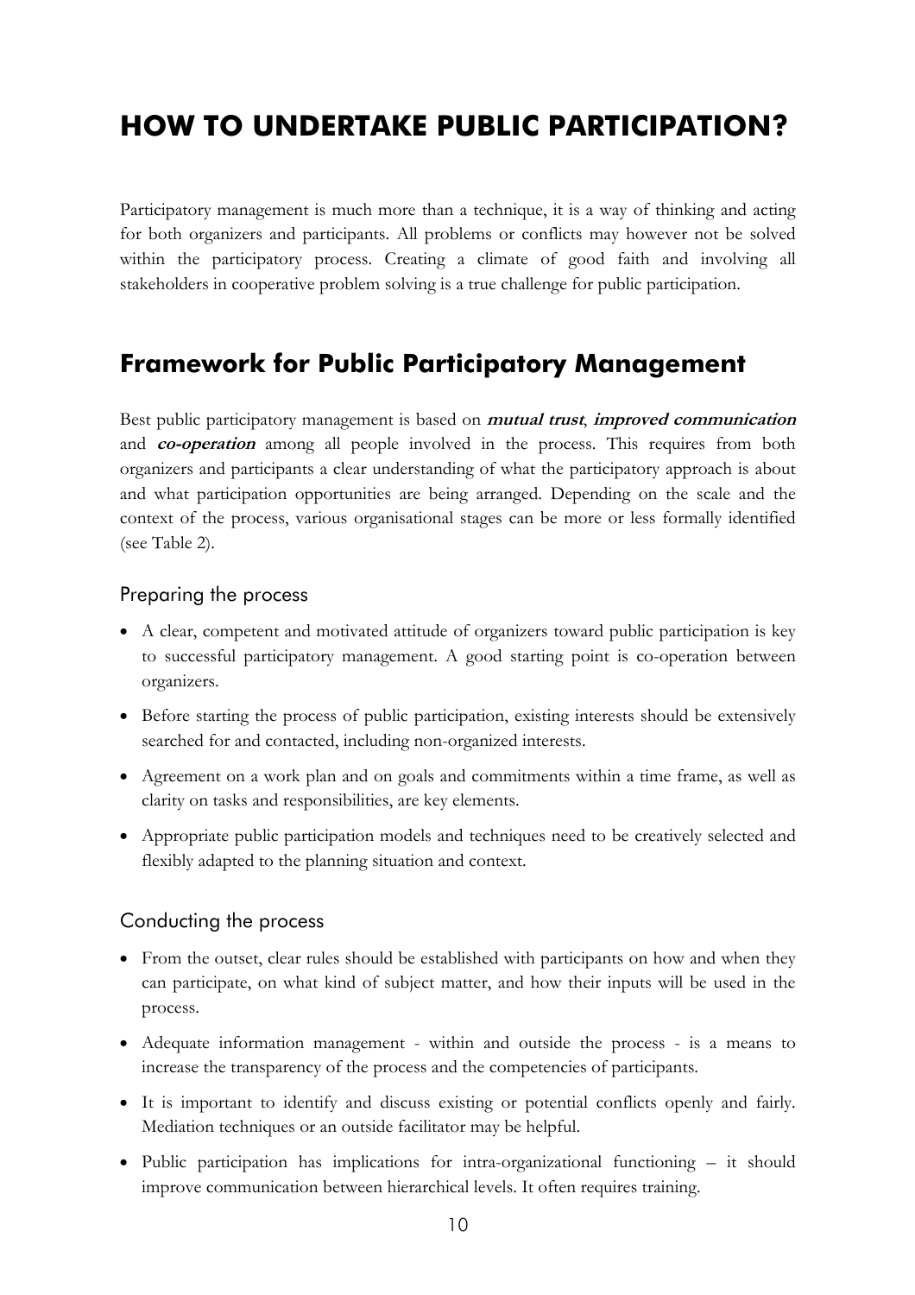# **HOW TO UNDERTAKE PUBLIC PARTICIPATION?**

Participatory management is much more than a technique, it is a way of thinking and acting for both organizers and participants. All problems or conflicts may however not be solved within the participatory process. Creating a climate of good faith and involving all stakeholders in cooperative problem solving is a true challenge for public participation.

### **Framework for Public Participatory Management**

Best public participatory management is based on **mutual trust**, **improved communication** and **co-operation** among all people involved in the process. This requires from both organizers and participants a clear understanding of what the participatory approach is about and what participation opportunities are being arranged. Depending on the scale and the context of the process, various organisational stages can be more or less formally identified (see Table 2).

#### Preparing the process

- A clear, competent and motivated attitude of organizers toward public participation is key to successful participatory management. A good starting point is co-operation between organizers.
- Before starting the process of public participation, existing interests should be extensively searched for and contacted, including non-organized interests.
- Agreement on a work plan and on goals and commitments within a time frame, as well as clarity on tasks and responsibilities, are key elements.
- Appropriate public participation models and techniques need to be creatively selected and flexibly adapted to the planning situation and context.

#### Conducting the process

- From the outset, clear rules should be established with participants on how and when they can participate, on what kind of subject matter, and how their inputs will be used in the process.
- Adequate information management within and outside the process is a means to increase the transparency of the process and the competencies of participants.
- It is important to identify and discuss existing or potential conflicts openly and fairly. Mediation techniques or an outside facilitator may be helpful.
- Public participation has implications for intra-organizational functioning  $-$  it should improve communication between hierarchical levels. It often requires training.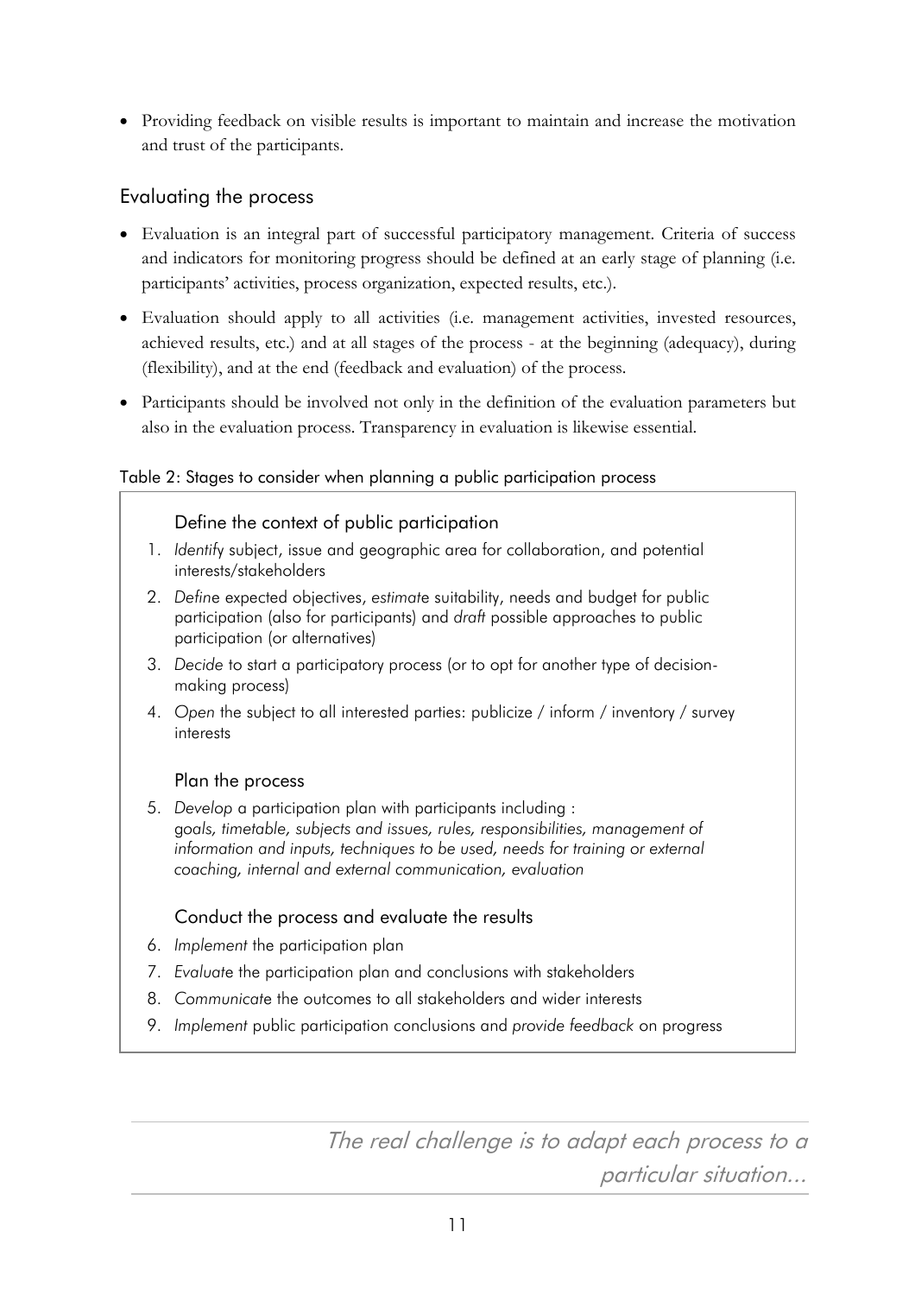Providing feedback on visible results is important to maintain and increase the motivation and trust of the participants.

#### Evaluating the process

- Evaluation is an integral part of successful participatory management. Criteria of success and indicators for monitoring progress should be defined at an early stage of planning (i.e. participants' activities, process organization, expected results, etc.).
- Evaluation should apply to all activities (i.e. management activities, invested resources, achieved results, etc.) and at all stages of the process - at the beginning (adequacy), during (flexibility), and at the end (feedback and evaluation) of the process.
- Participants should be involved not only in the definition of the evaluation parameters but also in the evaluation process. Transparency in evaluation is likewise essential.

#### Table 2: Stages to consider when planning a public participation process

#### Define the context of public participation

- 1. *Identif*y subject, issue and geographic area for collaboration, and potential interests/stakeholders
- 2. *Defin*e expected objectives, *estimat*e suitability, needs and budget for public participation (also for participants) and *draft* possible approaches to public participation (or alternatives)
- 3. *Decide* to start a participatory process (or to opt for another type of decisionmaking process)
- 4. *Open* the subject to all interested parties: publicize / inform / inventory / survey interests

#### Plan the process

5. *Develop* a participation plan with participants including : g*oals, timetable, subjects and issues, rules, responsibilities, management of information and inputs, techniques to be used, needs for training or external coaching, internal and external communication, evaluation*

#### Conduct the process and evaluate the results

- 6. *Implement* the participation plan
- 7. *Evaluat*e the participation plan and conclusions with stakeholders
- 8. *Communicat*e the outcomes to all stakeholders and wider interests
- 9. *Implement* public participation conclusions and *provide feedback* on progress

The real challenge is to adapt each process to a particular situation...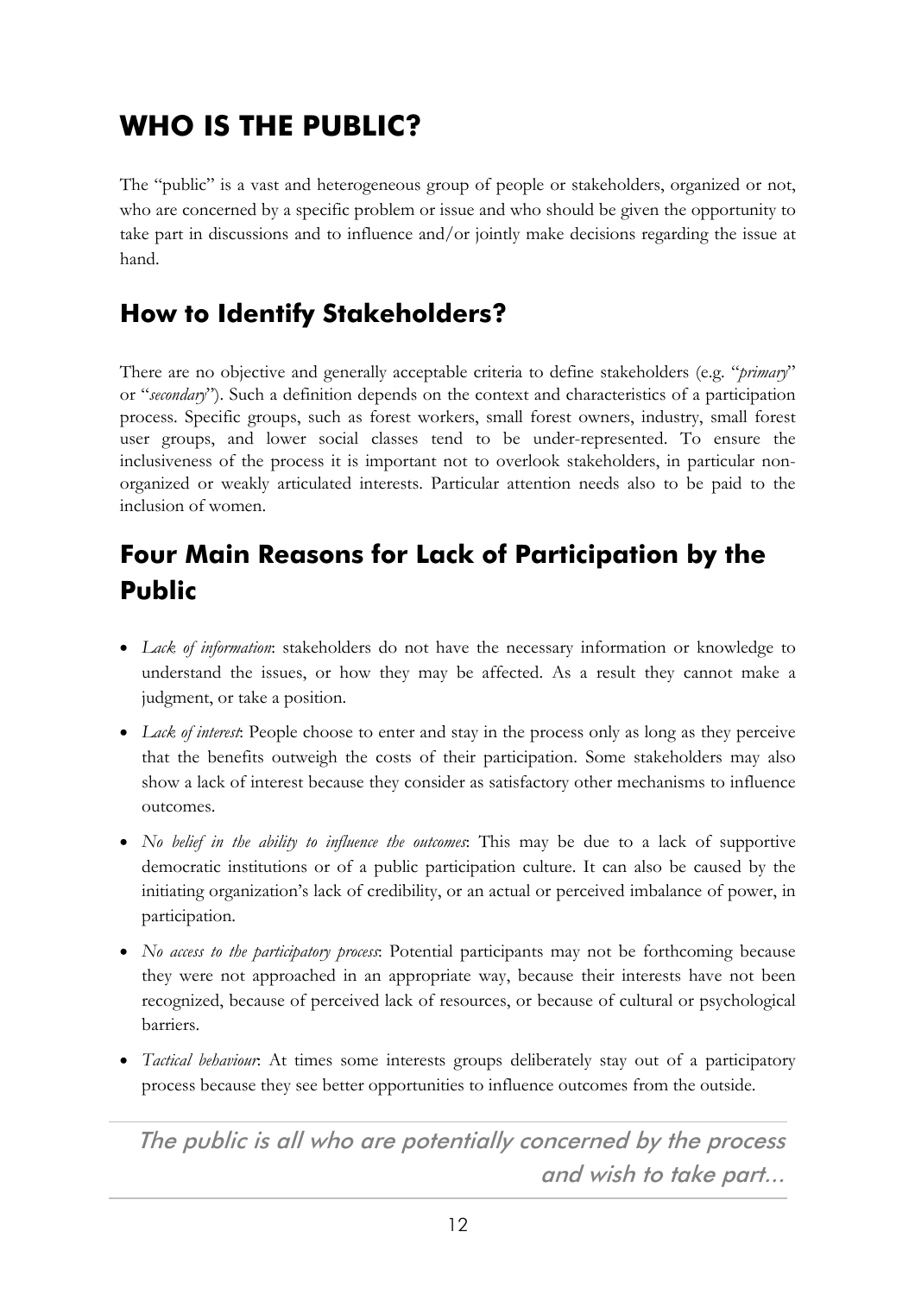# **WHO IS THE PUBLIC?**

The "public" is a vast and heterogeneous group of people or stakeholders, organized or not, who are concerned by a specific problem or issue and who should be given the opportunity to take part in discussions and to influence and/or jointly make decisions regarding the issue at hand.

# <span id="page-17-0"></span>**How to Identify Stakeholders?**

There are no objective and generally acceptable criteria to define stakeholders (e.g. *"primary*" or "*secondary*"). Such a definition depends on the context and characteristics of a participation process. Specific groups, such as forest workers, small forest owners, industry, small forest user groups, and lower social classes tend to be under-represented. To ensure the inclusiveness of the process it is important not to overlook stakeholders, in particular nonorganized or weakly articulated interests. Particular attention needs also to be paid to the inclusion of women.

# **Four Main Reasons for Lack of Participation by the Public**

- <span id="page-17-1"></span> *Lack of information*: stakeholders do not have the necessary information or knowledge to understand the issues, or how they may be affected. As a result they cannot make a judgment, or take a position.
- *Lack of interest*: People choose to enter and stay in the process only as long as they perceive that the benefits outweigh the costs of their participation. Some stakeholders may also show a lack of interest because they consider as satisfactory other mechanisms to influence outcomes.
- *No belief in the ability to influence the outcomes*: This may be due to a lack of supportive democratic institutions or of a public participation culture. It can also be caused by the initiating organization's lack of credibility, or an actual or perceived imbalance of power, in participation.
- *No access to the participatory process*: Potential participants may not be forthcoming because they were not approached in an appropriate way, because their interests have not been recognized, because of perceived lack of resources, or because of cultural or psychological barriers.
- <span id="page-17-2"></span> *Tactical behaviour*: At times some interests groups deliberately stay out of a participatory process because they see better opportunities to influence outcomes from the outside.

The public is all who are potentially concerned by the process and wish to take part...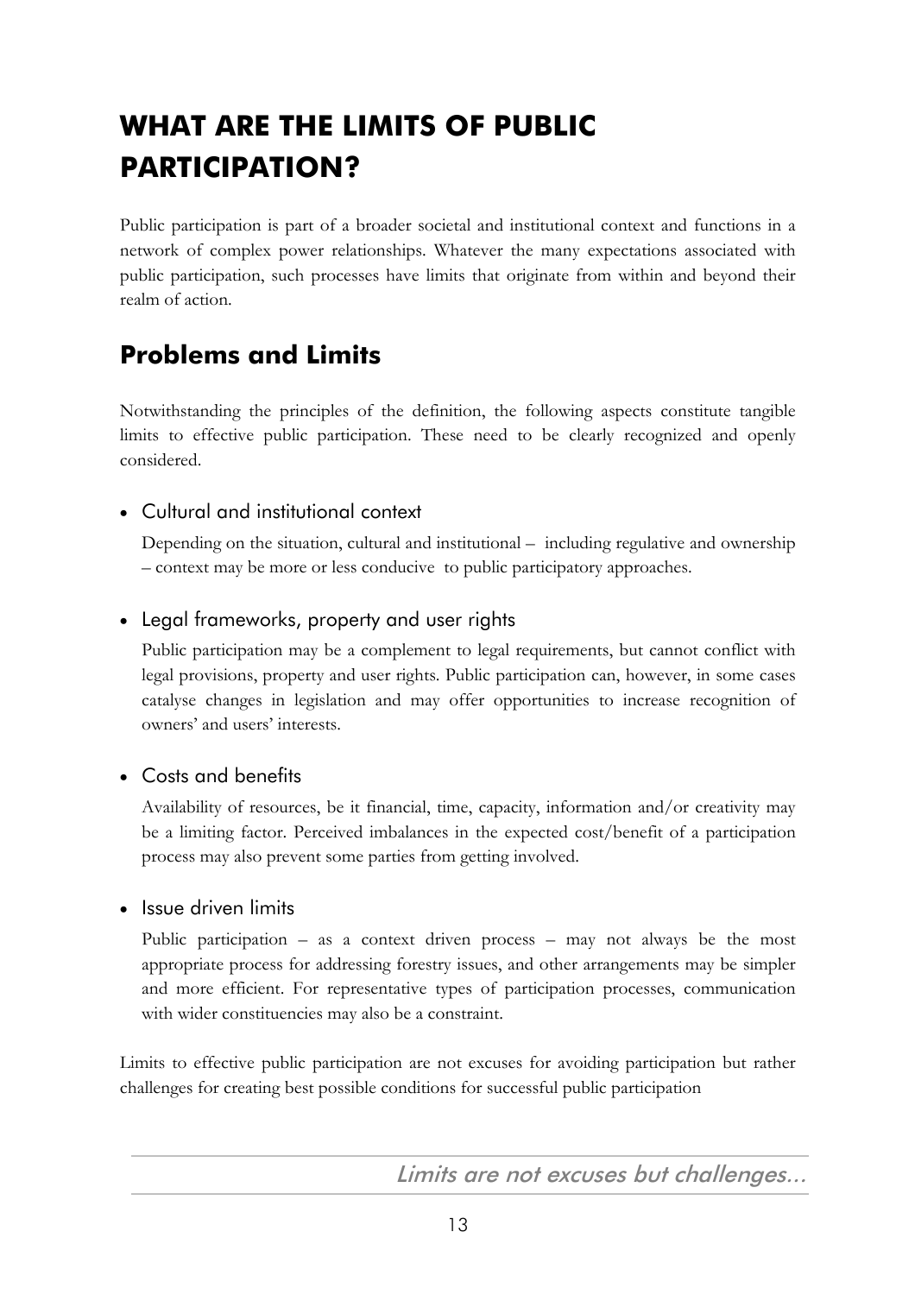# **WHAT ARE THE LIMITS OF PUBLIC PARTICIPATION?**

Public participation is part of a broader societal and institutional context and functions in a network of complex power relationships. Whatever the many expectations associated with public participation, such processes have limits that originate from within and beyond their realm of action.

# <span id="page-18-0"></span>**Problems and Limits**

Notwithstanding the principles of the definition, the following aspects constitute tangible limits to effective public participation. These need to be clearly recognized and openly considered.

### Cultural and institutional context

Depending on the situation, cultural and institutional  $-$  including regulative and ownership – context may be more or less conducive to public participatory approaches.

### <span id="page-18-1"></span>Legal frameworks, property and user rights

Public participation may be a complement to legal requirements, but cannot conflict with legal provisions, property and user rights. Public participation can, however, in some cases catalyse changes in legislation and may offer opportunities to increase recognition of owners' and users' interests.

### • Costs and benefits

Availability of resources, be it financial, time, capacity, information and/or creativity may be a limiting factor. Perceived imbalances in the expected cost/benefit of a participation process may also prevent some parties from getting involved.

### <span id="page-18-2"></span>• Issue driven limits

Public participation  $-$  as a context driven process  $-$  may not always be the most appropriate process for addressing forestry issues, and other arrangements may be simpler and more efficient. For representative types of participation processes, communication with wider constituencies may also be a constraint.

Limits to effective public participation are not excuses for avoiding participation but rather challenges for creating best possible conditions for successful public participation

Limits are not excuses but challenges...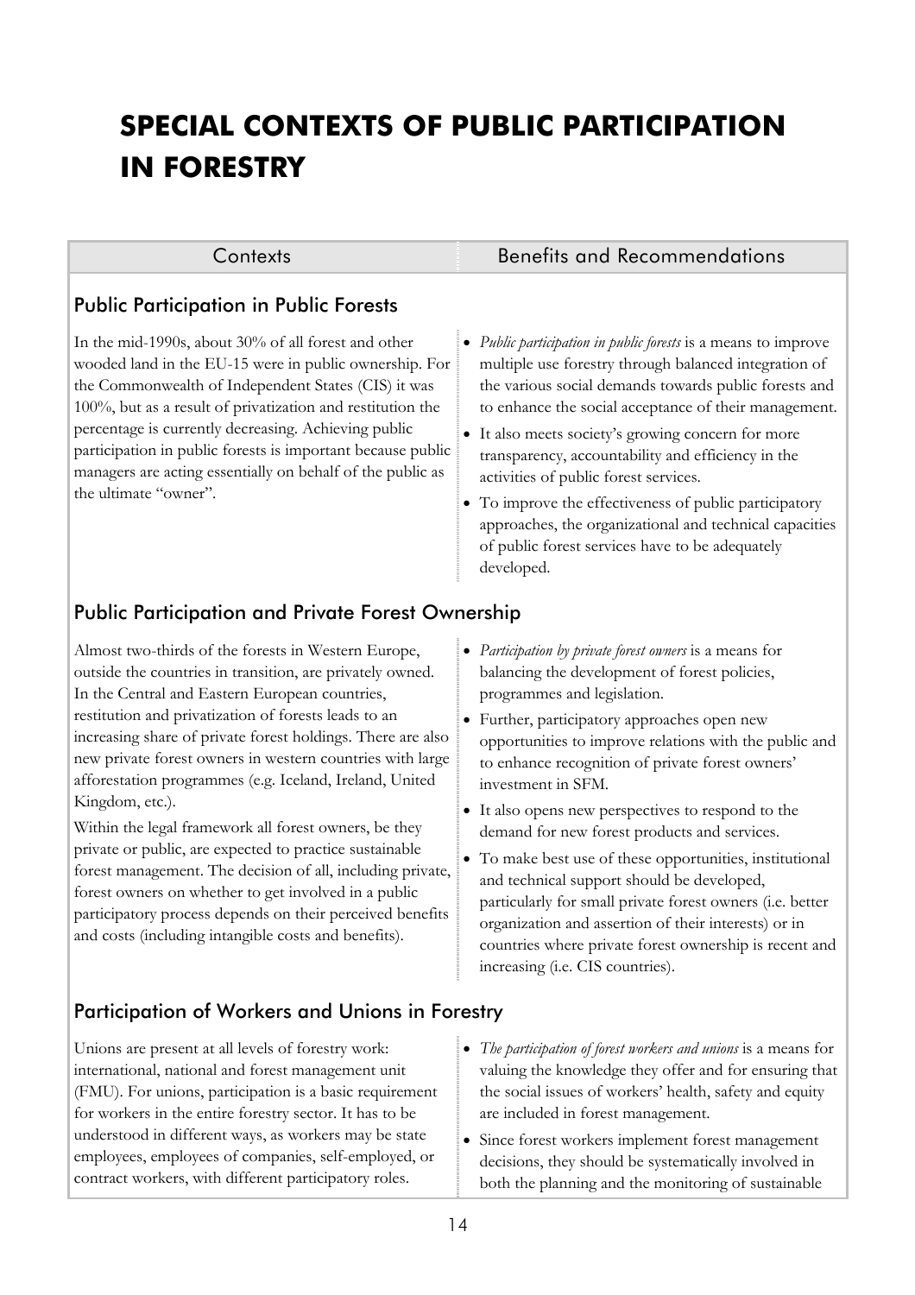# <span id="page-19-0"></span>**SPECIAL CONTEXTS OF PUBLIC PARTICIPATION IN FORESTRY**

#### Public Participation in Public Forests

In the mid-1990s, about 30% of all forest and other wooded land in the EU-15 were in public ownership. For the Commonwealth of Independent States (CIS) it was 100%, but as a result of privatization and restitution the percentage is currently decreasing. Achieving public participation in public forests is important because public managers are acting essentially on behalf of the public as the ultimate "owner".

#### Contexts Benefits and Recommendations

- *Public participation in public forests* is a means to improve multiple use forestry through balanced integration of the various social demands towards public forests and to enhance the social acceptance of their management.
- It also meets societyís growing concern for more transparency, accountability and efficiency in the activities of public forest services.
- To improve the effectiveness of public participatory approaches, the organizational and technical capacities of public forest services have to be adequately developed.

### Public Participation and Private Forest Ownership

Almost two-thirds of the forests in Western Europe, outside the countries in transition, are privately owned. In the Central and Eastern European countries, restitution and privatization of forests leads to an increasing share of private forest holdings. There are also new private forest owners in western countries with large afforestation programmes (e.g. Iceland, Ireland, United Kingdom, etc.).

Within the legal framework all forest owners, be they private or public, are expected to practice sustainable forest management. The decision of all, including private, forest owners on whether to get involved in a public participatory process depends on their perceived benefits and costs (including intangible costs and benefits).

- *Participation by private forest owners* is a means for balancing the development of forest policies, programmes and legislation.
- Further, participatory approaches open new opportunities to improve relations with the public and to enhance recognition of private forest owners' investment in SFM.
- It also opens new perspectives to respond to the demand for new forest products and services.
- To make best use of these opportunities, institutional and technical support should be developed, particularly for small private forest owners (i.e. better organization and assertion of their interests) or in countries where private forest ownership is recent and increasing (i.e. CIS countries).

### Participation of Workers and Unions in Forestry

Unions are present at all levels of forestry work: international, national and forest management unit (FMU). For unions, participation is a basic requirement for workers in the entire forestry sector. It has to be understood in different ways, as workers may be state employees, employees of companies, self-employed, or contract workers, with different participatory roles.

- *The participation of forest workers and unions* is a means for valuing the knowledge they offer and for ensuring that the social issues of workers' health, safety and equity are included in forest management.
- Since forest workers implement forest management decisions, they should be systematically involved in both the planning and the monitoring of sustainable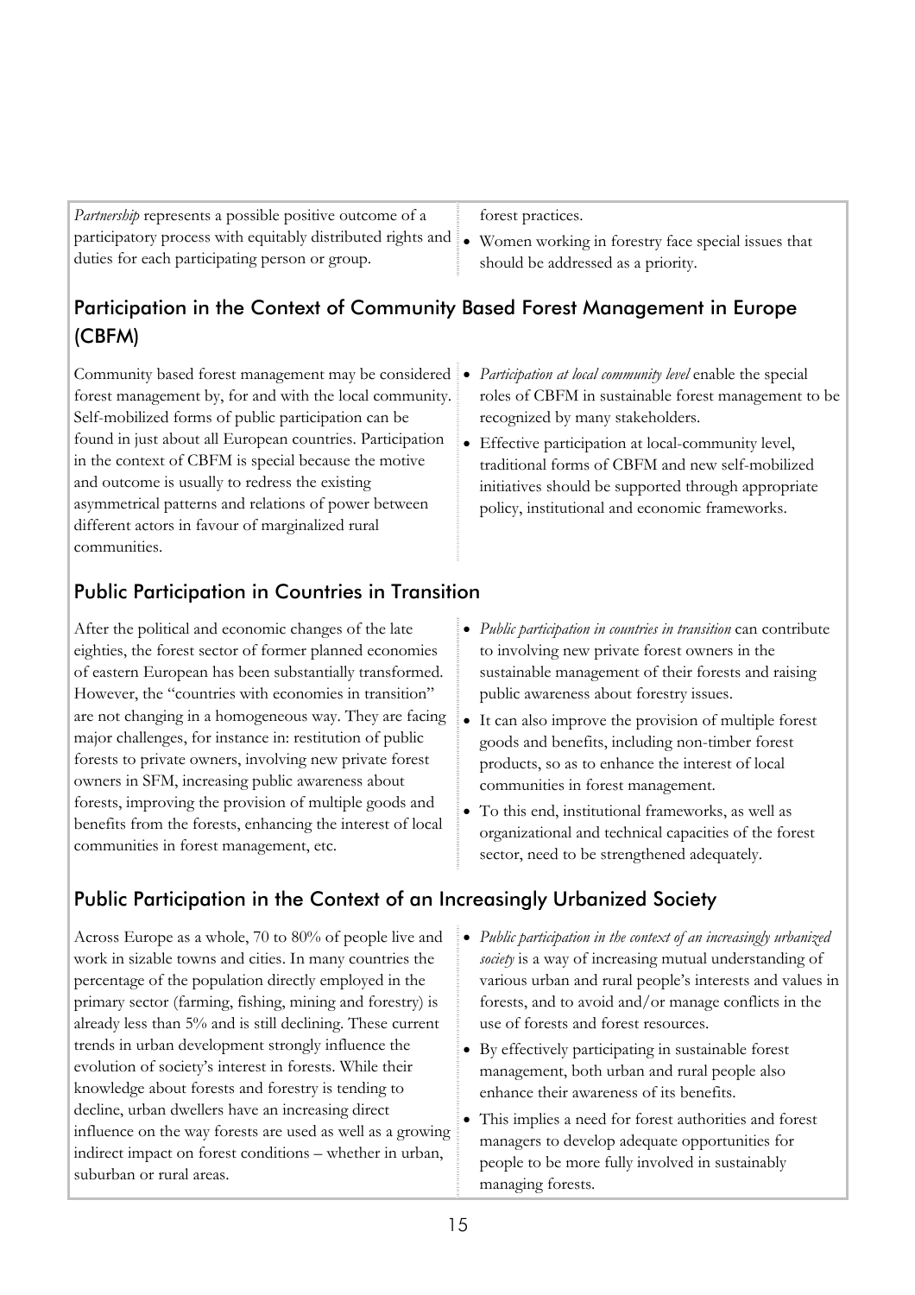<span id="page-20-0"></span>

| <i>Partnership</i> represents a possible positive outcome of a                                                           | forest practices.                  |
|--------------------------------------------------------------------------------------------------------------------------|------------------------------------|
| participatory process with equitably distributed rights and $\bullet$ Women working in forestry face special issues that |                                    |
| duties for each participating person or group.                                                                           | should be addressed as a priority. |

### Participation in the Context of Community Based Forest Management in Europe (CBFM)

Community based forest management may be considered - *Participation at local community level* enable the special forest management by, for and with the local community. Self-mobilized forms of public participation can be found in just about all European countries. Participation in the context of CBFM is special because the motive and outcome is usually to redress the existing asymmetrical patterns and relations of power between different actors in favour of marginalized rural communities.

### Public Participation in Countries in Transition

After the political and economic changes of the late eighties, the forest sector of former planned economies of eastern European has been substantially transformed. However, the "countries with economies in transition" are not changing in a homogeneous way. They are facing major challenges, for instance in: restitution of public forests to private owners, involving new private forest owners in SFM, increasing public awareness about forests, improving the provision of multiple goods and benefits from the forests, enhancing the interest of local communities in forest management, etc.

- *Public participation in countries in transition* can contribute to involving new private forest owners in the sustainable management of their forests and raising public awareness about forestry issues.

roles of CBFM in sustainable forest management to be

- Effective participation at local-community level, traditional forms of CBFM and new self-mobilized initiatives should be supported through appropriate policy, institutional and economic frameworks.

recognized by many stakeholders.

- It can also improve the provision of multiple forest goods and benefits, including non-timber forest products, so as to enhance the interest of local communities in forest management.
- To this end, institutional frameworks, as well as organizational and technical capacities of the forest sector, need to be strengthened adequately.

### Public Participation in the Context of an Increasingly Urbanized Society

Across Europe as a whole, 70 to 80% of people live and work in sizable towns and cities. In many countries the percentage of the population directly employed in the primary sector (farming, fishing, mining and forestry) is already less than 5% and is still declining. These current trends in urban development strongly influence the evolution of society's interest in forests. While their knowledge about forests and forestry is tending to decline, urban dwellers have an increasing direct influence on the way forests are used as well as a growing indirect impact on forest conditions – whether in urban, suburban or rural areas.

- *Public participation in the context of an increasingly urbanized society* is a way of increasing mutual understanding of various urban and rural people's interests and values in forests, and to avoid and/or manage conflicts in the use of forests and forest resources.
- By effectively participating in sustainable forest management, both urban and rural people also enhance their awareness of its benefits.
- This implies a need for forest authorities and forest managers to develop adequate opportunities for people to be more fully involved in sustainably managing forests.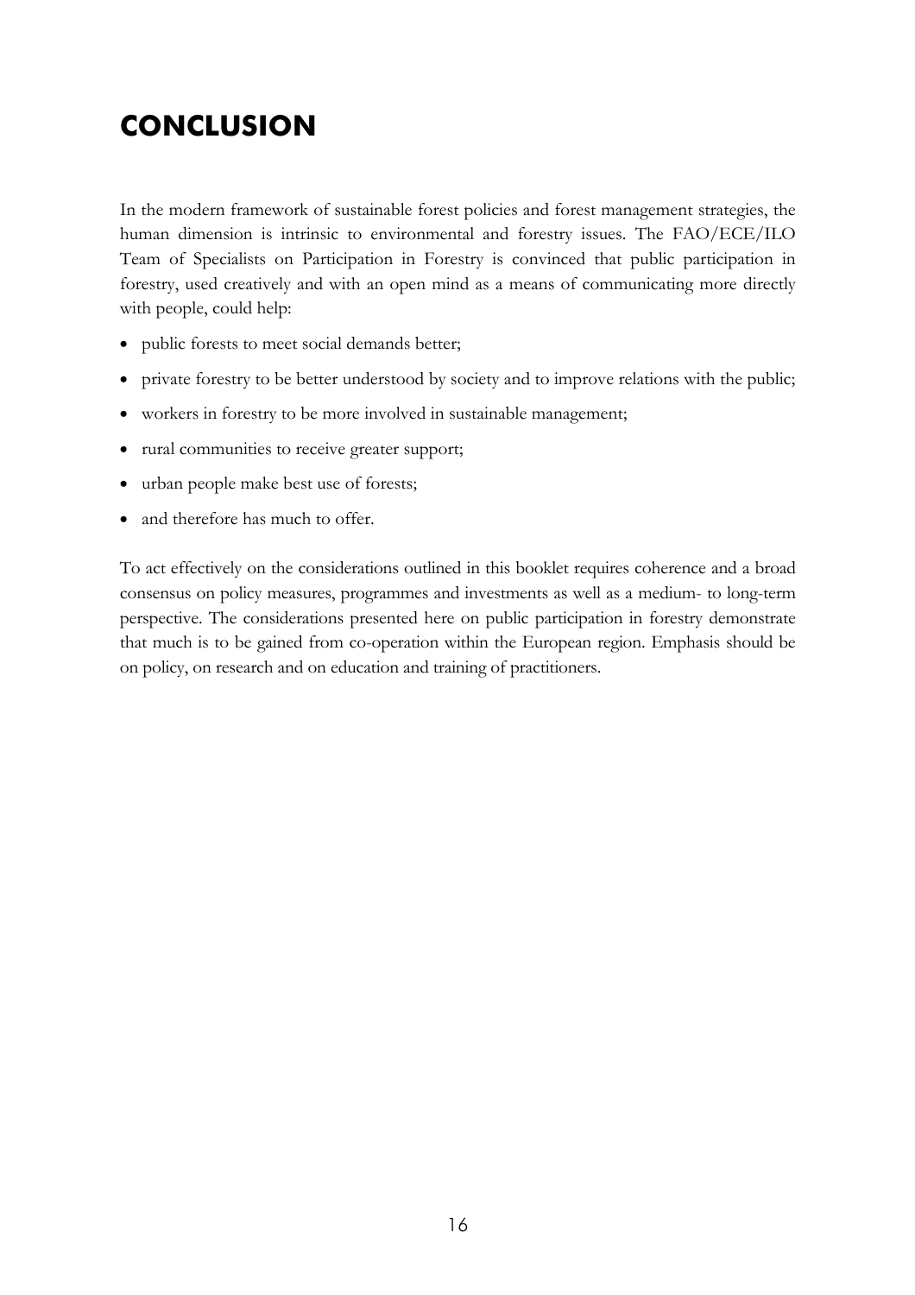# <span id="page-21-0"></span>**CONCLUSION**

In the modern framework of sustainable forest policies and forest management strategies, the human dimension is intrinsic to environmental and forestry issues. The FAO/ECE/ILO Team of Specialists on Participation in Forestry is convinced that public participation in forestry, used creatively and with an open mind as a means of communicating more directly with people, could help:

- public forests to meet social demands better;
- private forestry to be better understood by society and to improve relations with the public;
- workers in forestry to be more involved in sustainable management;
- rural communities to receive greater support;
- urban people make best use of forests;
- and therefore has much to offer.

To act effectively on the considerations outlined in this booklet requires coherence and a broad consensus on policy measures, programmes and investments as well as a medium- to long-term perspective. The considerations presented here on public participation in forestry demonstrate that much is to be gained from co-operation within the European region. Emphasis should be on policy, on research and on education and training of practitioners.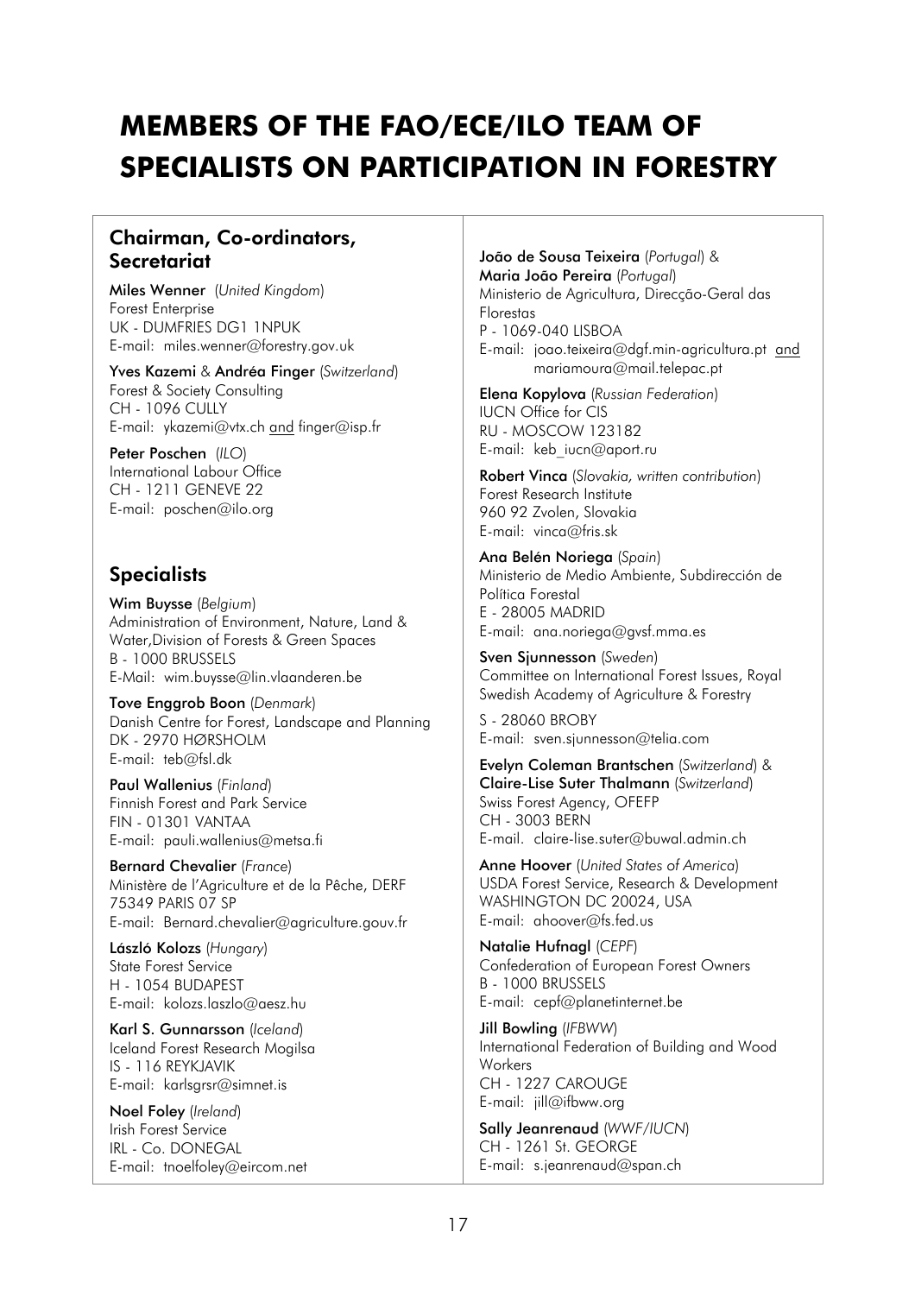# **MEMBERS OF THE FAO/ECE/ILO TEAM OF SPECIALISTS ON PARTICIPATION IN FORESTRY**

### Chairman, Co-ordinators, **Secretariat**

Miles Wenner (*United Kingdom*) Forest Enterprise UK - DUMFRIES DG1 1NPUK E-mail: miles.wenner@forestry.gov.uk

Yves Kazemi & Andréa Finger (*Switzerland*) Forest & Society Consulting CH - 1096 CULLY E-mail: ykazemi@vtx.ch and finger@isp.fr

Peter Poschen (*ILO*) International Labour Office CH - 1211 GENEVE 22 E-mail: poschen@ilo.org

### **Specialists**

Wim Buysse (*Belgium*) Administration of Environment, Nature, Land & Water,Division of Forests & Green Spaces B - 1000 BRUSSELS E-Mail: wim.buysse@lin.vlaanderen.be

Tove Enggrob Boon (*Denmark*) Danish Centre for Forest, Landscape and Planning DK - 2970 HØRSHOLM E-mail: teb@fsl.dk

Paul Wallenius (*Finland*) Finnish Forest and Park Service FIN - 01301 VANTAA E-mail: pauli.wallenius@metsa.fi

Bernard Chevalier (*France*) Ministère de l'Agriculture et de la Pêche, DERF 75349 PARIS 07 SP E-mail: Bernard.chevalier@agriculture.gouv.fr

László Kolozs (Hungary) State Forest Service H - 1054 BUDAPEST E-mail: kolozs.laszlo@aesz.hu

Karl S. Gunnarsson (*Iceland*) Iceland Forest Research Mogilsa IS - 116 REYKJAVIK E-mail: karlsgrsr@simnet.is

Noel Foley (*Ireland*) Irish Forest Service IRL - Co. DONEGAL E-mail: tnoelfoley@eircom.net João de Sousa Teixeira (Portugal) & **Maria João Pereira** (*Portugal*) Ministerio de Agricultura, Direcção-Geral das Florestas P - 1069-040 LISBOA E-mail: joao.teixeira@dgf.min-agricultura.pt and mariamoura@mail.telepac.pt

Elena Kopylova (*Russian Federation*) IUCN Office for CIS RU - MOSCOW 123182 E-mail: keb\_iucn@aport.ru

Robert Vinca (*Slovakia, written contribution*) Forest Research Institute 960 92 Zvolen, Slovakia E-mail: vinca@fris.sk

Ana Belén Noriega (Spain) Ministerio de Medio Ambiente, Subdirección de Política Forestal E - 28005 MADRID E-mail: ana.noriega@gvsf.mma.es

Sven Sjunnesson (*Sweden*) Committee on International Forest Issues, Royal Swedish Academy of Agriculture & Forestry

S - 28060 BROBY E-mail: sven.sjunnesson@telia.com

Evelyn Coleman Brantschen (*Switzerland*) & Claire-Lise Suter Thalmann (*Switzerland*) Swiss Forest Agency, OFEFP CH - 3003 BERN E-mail. claire-lise.suter@buwal.admin.ch

Anne Hoover (*United States of America*) USDA Forest Service, Research & Development WASHINGTON DC 20024, USA E-mail: ahoover@fs.fed.us

Natalie Hufnagl (*CEPF*) Confederation of European Forest Owners B - 1000 BRUSSELS E-mail: cepf@planetinternet.be

Jill Bowling (*IFBWW*) International Federation of Building and Wood Workers CH - 1227 CAROUGE E-mail: jill@ifbww.org

Sally Jeanrenaud (*WWF/IUCN*) CH - 1261 St. GEORGE E-mail: s.jeanrenaud@span.ch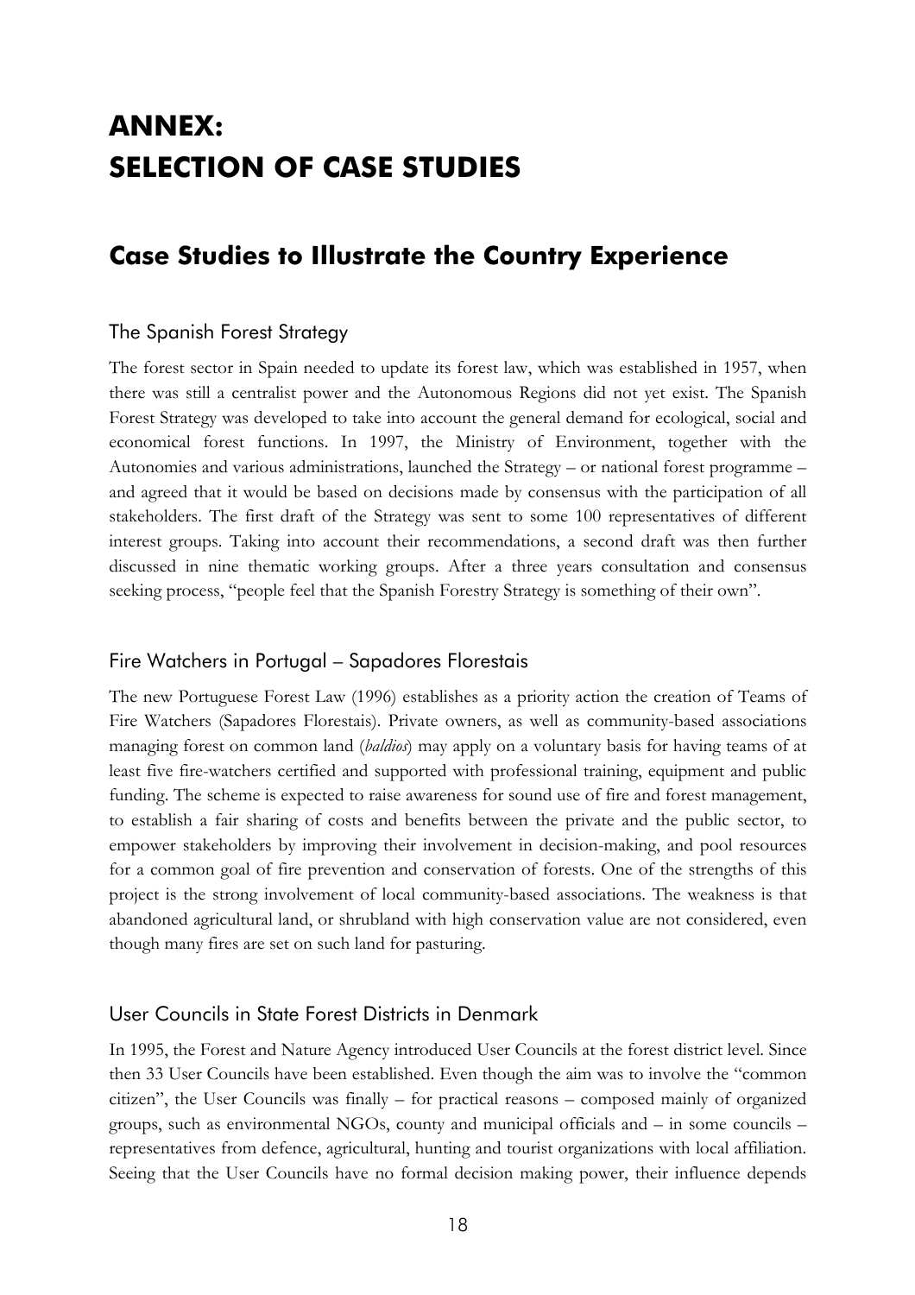# **ANNEX: SELECTION OF CASE STUDIES**

### **Case Studies to Illustrate the Country Experience**

#### The Spanish Forest Strategy

The forest sector in Spain needed to update its forest law, which was established in 1957, when there was still a centralist power and the Autonomous Regions did not yet exist. The Spanish Forest Strategy was developed to take into account the general demand for ecological, social and economical forest functions. In 1997, the Ministry of Environment, together with the Autonomies and various administrations, launched the Strategy  $-$  or national forest programme  $$ and agreed that it would be based on decisions made by consensus with the participation of all stakeholders. The first draft of the Strategy was sent to some 100 representatives of different interest groups. Taking into account their recommendations, a second draft was then further discussed in nine thematic working groups. After a three years consultation and consensus seeking process, "people feel that the Spanish Forestry Strategy is something of their own".

#### Fire Watchers in Portugal – Sapadores Florestais

The new Portuguese Forest Law (1996) establishes as a priority action the creation of Teams of Fire Watchers (Sapadores Florestais). Private owners, as well as community-based associations managing forest on common land (*baldios*) may apply on a voluntary basis for having teams of at least five fire-watchers certified and supported with professional training, equipment and public funding. The scheme is expected to raise awareness for sound use of fire and forest management, to establish a fair sharing of costs and benefits between the private and the public sector, to empower stakeholders by improving their involvement in decision-making, and pool resources for a common goal of fire prevention and conservation of forests. One of the strengths of this project is the strong involvement of local community-based associations. The weakness is that abandoned agricultural land, or shrubland with high conservation value are not considered, even though many fires are set on such land for pasturing.

#### User Councils in State Forest Districts in Denmark

In 1995, the Forest and Nature Agency introduced User Councils at the forest district level. Since then 33 User Councils have been established. Even though the aim was to involve the "common citizen", the User Councils was finally  $-$  for practical reasons  $-$  composed mainly of organized groups, such as environmental NGOs, county and municipal officials and  $-$  in some councils  $$ representatives from defence, agricultural, hunting and tourist organizations with local affiliation. Seeing that the User Councils have no formal decision making power, their influence depends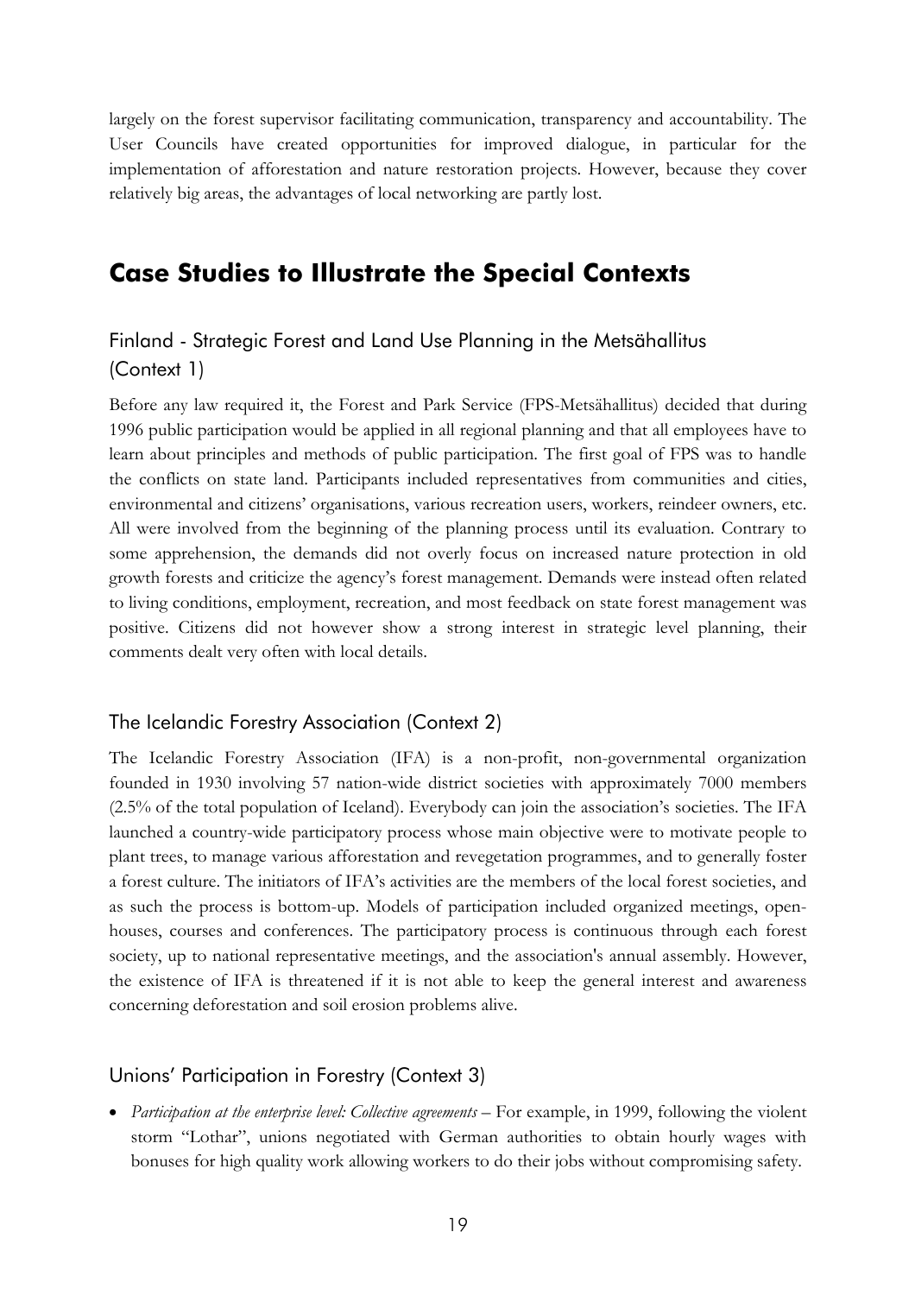largely on the forest supervisor facilitating communication, transparency and accountability. The User Councils have created opportunities for improved dialogue, in particular for the implementation of afforestation and nature restoration projects. However, because they cover relatively big areas, the advantages of local networking are partly lost.

### **Case Studies to Illustrate the Special Contexts**

### Finland - Strategic Forest and Land Use Planning in the Metsähallitus (Context 1)

Before any law required it, the Forest and Park Service (FPS-Metsähallitus) decided that during 1996 public participation would be applied in all regional planning and that all employees have to learn about principles and methods of public participation. The first goal of FPS was to handle the conflicts on state land. Participants included representatives from communities and cities, environmental and citizens' organisations, various recreation users, workers, reindeer owners, etc. All were involved from the beginning of the planning process until its evaluation. Contrary to some apprehension, the demands did not overly focus on increased nature protection in old growth forests and criticize the agencyís forest management. Demands were instead often related to living conditions, employment, recreation, and most feedback on state forest management was positive. Citizens did not however show a strong interest in strategic level planning, their comments dealt very often with local details.

#### The Icelandic Forestry Association (Context 2)

The Icelandic Forestry Association (IFA) is a non-profit, non-governmental organization founded in 1930 involving 57 nation-wide district societies with approximately 7000 members  $(2.5\%$  of the total population of Iceland). Everybody can join the association's societies. The IFA launched a country-wide participatory process whose main objective were to motivate people to plant trees, to manage various afforestation and revegetation programmes, and to generally foster a forest culture. The initiators of IFA's activities are the members of the local forest societies, and as such the process is bottom-up. Models of participation included organized meetings, openhouses, courses and conferences. The participatory process is continuous through each forest society, up to national representative meetings, and the association's annual assembly. However, the existence of IFA is threatened if it is not able to keep the general interest and awareness concerning deforestation and soil erosion problems alive.

#### Unionsí Participation in Forestry (Context 3)

• *Participation at the enterprise level: Collective agreements* – For example, in 1999, following the violent storm "Lothar", unions negotiated with German authorities to obtain hourly wages with bonuses for high quality work allowing workers to do their jobs without compromising safety.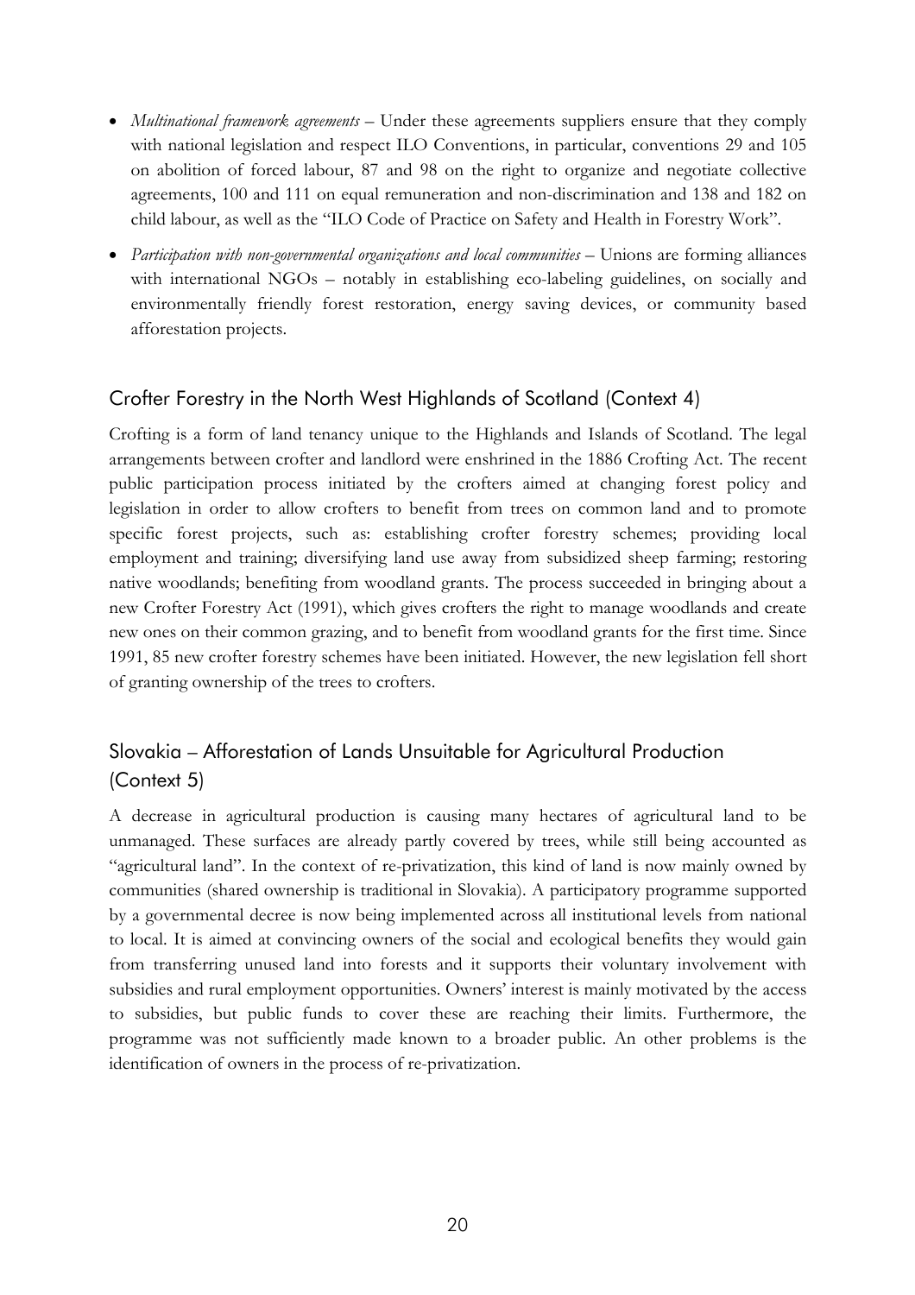- *Multinational framework agreements* Under these agreements suppliers ensure that they comply with national legislation and respect ILO Conventions, in particular, conventions 29 and 105 on abolition of forced labour, 87 and 98 on the right to organize and negotiate collective agreements, 100 and 111 on equal remuneration and non-discrimination and 138 and 182 on child labour, as well as the "ILO Code of Practice on Safety and Health in Forestry Work".
- Participation with non-governmental organizations and local communities Unions are forming alliances with international  $NGOs - notably$  in establishing eco-labeling guidelines, on socially and environmentally friendly forest restoration, energy saving devices, or community based afforestation projects.

#### Crofter Forestry in the North West Highlands of Scotland (Context 4)

Crofting is a form of land tenancy unique to the Highlands and Islands of Scotland. The legal arrangements between crofter and landlord were enshrined in the 1886 Crofting Act. The recent public participation process initiated by the crofters aimed at changing forest policy and legislation in order to allow crofters to benefit from trees on common land and to promote specific forest projects, such as: establishing crofter forestry schemes; providing local employment and training; diversifying land use away from subsidized sheep farming; restoring native woodlands; benefiting from woodland grants. The process succeeded in bringing about a new Crofter Forestry Act (1991), which gives crofters the right to manage woodlands and create new ones on their common grazing, and to benefit from woodland grants for the first time. Since 1991, 85 new crofter forestry schemes have been initiated. However, the new legislation fell short of granting ownership of the trees to crofters.

### Slovakia – Afforestation of Lands Unsuitable for Agricultural Production (Context 5)

A decrease in agricultural production is causing many hectares of agricultural land to be unmanaged. These surfaces are already partly covered by trees, while still being accounted as "agricultural land". In the context of re-privatization, this kind of land is now mainly owned by communities (shared ownership is traditional in Slovakia). A participatory programme supported by a governmental decree is now being implemented across all institutional levels from national to local. It is aimed at convincing owners of the social and ecological benefits they would gain from transferring unused land into forests and it supports their voluntary involvement with subsidies and rural employment opportunities. Owners' interest is mainly motivated by the access to subsidies, but public funds to cover these are reaching their limits. Furthermore, the programme was not sufficiently made known to a broader public. An other problems is the identification of owners in the process of re-privatization.